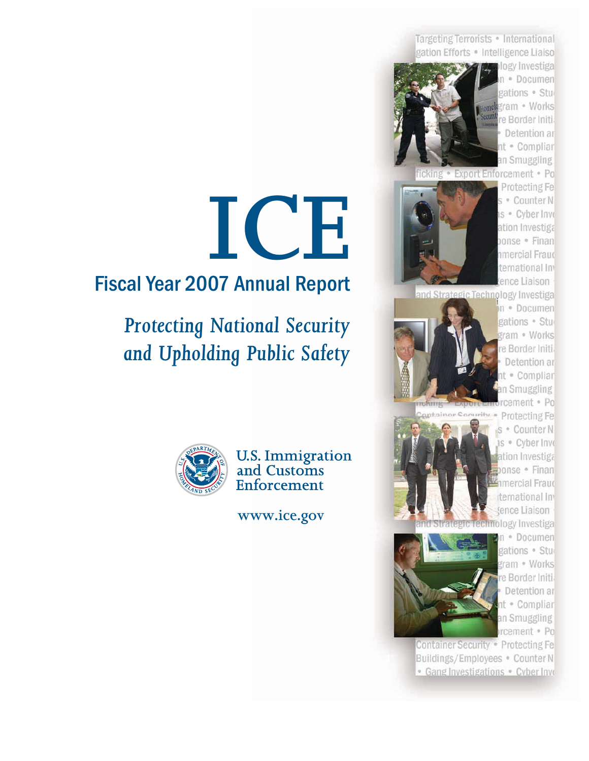Targeting Terrorists · International gation Efforts · Intelligence Liaiso



logy Investiga · Documen gations · Stud gram · Works re Border Initi Detention ar nt · Compliar an Smuggling

cking · Export Enforcement · Po

Protecting Fe s · Counter N is . Cyber Inve ation Investiga oonse · Finan nmercial Fraud temational Im ence Liaison



n · Documen gations · Stud ram · Works e Border Initi Detention ar it · Compliar in Smuggling



ation Investiga onse · Finan imercial Fraud iternational In tence Liaison



a tribut



· Documen gations · Stur gram · Works re Border Initi Detention ar nt · Compliar an Smuggling rcement · Po

Container Security . Protecting Fe Buildings/Employees . Counter N · Gang Investigations · Cyber Inve



# **Fiscal Year 2007 Annual Report**

# **Protecting National Security** and Upholding Public Safety



U.S. Immigration<br>and Customs Enforcement

www.ice.gov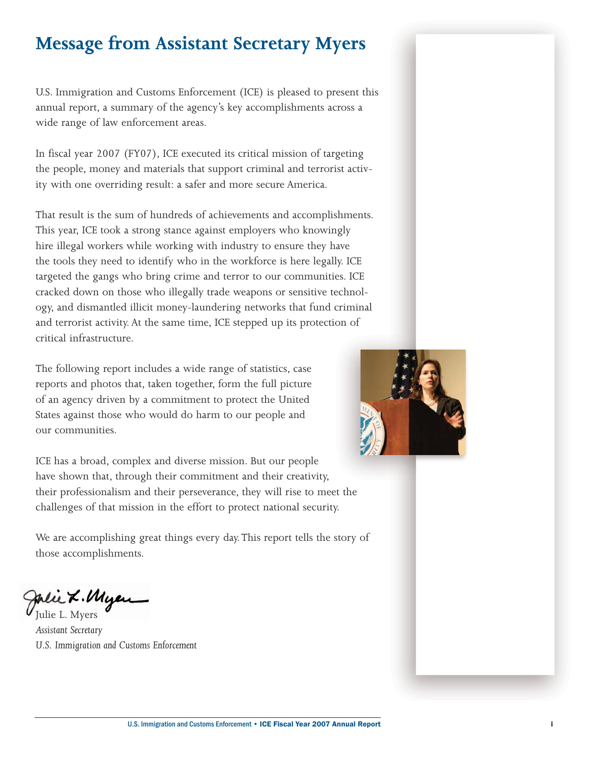# **Message from Assistant Secretary Myers**

U.S. Immigration and Customs Enforcement (ICE) is pleased to present this annual report, a summary of the agency's key accomplishments across a wide range of law enforcement areas.

In fiscal year 2007 (FY07), ICE executed its critical mission of targeting the people, money and materials that support criminal and terrorist activity with one overriding result: a safer and more secure America.

That result is the sum of hundreds of achievements and accomplishments. This year, ICE took a strong stance against employers who knowingly hire illegal workers while working with industry to ensure they have the tools they need to identify who in the workforce is here legally. ICE targeted the gangs who bring crime and terror to our communities. ICE cracked down on those who illegally trade weapons or sensitive technology, and dismantled illicit money-laundering networks that fund criminal and terrorist activity. At the same time, ICE stepped up its protection of critical infrastructure.

The following report includes a wide range of statistics, case reports and photos that, taken together, form the full picture of an agency driven by a commitment to protect the United States against those who would do harm to our people and our communities.

ICE has a broad, complex and diverse mission. But our people have shown that, through their commitment and their creativity, their professionalism and their perseverance, they will rise to meet the challenges of that mission in the effort to protect national security.

We are accomplishing great things every day.This report tells the story of those accomplishments.

Mlie **L. Myen**<br>Julie L. Myers

*Assistant Secretary U.S. Immigration and Customs Enforcement* 

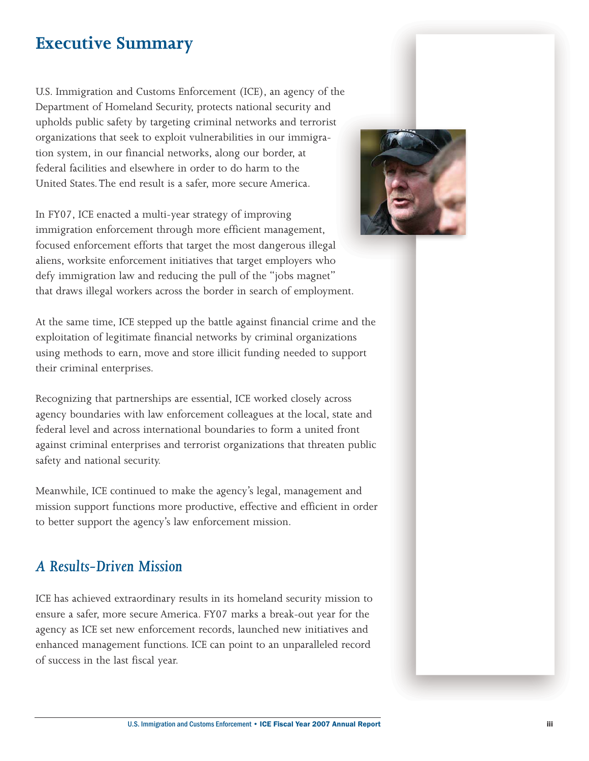### **Executive Summary**

U.S. Immigration and Customs Enforcement (ICE), an agency of the Department of Homeland Security, protects national security and upholds public safety by targeting criminal networks and terrorist organizations that seek to exploit vulnerabilities in our immigration system, in our financial networks, along our border, at federal facilities and elsewhere in order to do harm to the United States. The end result is a safer, more secure America.

In FY07, ICE enacted a multi-year strategy of improving immigration enforcement through more efficient management, focused enforcement efforts that target the most dangerous illegal aliens, worksite enforcement initiatives that target employers who defy immigration law and reducing the pull of the "jobs magnet" that draws illegal workers across the border in search of employment.

At the same time, ICE stepped up the battle against financial crime and the exploitation of legitimate financial networks by criminal organizations using methods to earn, move and store illicit funding needed to support their criminal enterprises.

Recognizing that partnerships are essential, ICE worked closely across agency boundaries with law enforcement colleagues at the local, state and federal level and across international boundaries to form a united front against criminal enterprises and terrorist organizations that threaten public safety and national security.

Meanwhile, ICE continued to make the agency's legal, management and mission support functions more productive, effective and efficient in order to better support the agency's law enforcement mission.

### *A Results-Driven Mission*

ICE has achieved extraordinary results in its homeland security mission to ensure a safer, more secure America. FY07 marks a break-out year for the agency as ICE set new enforcement records, launched new initiatives and enhanced management functions. ICE can point to an unparalleled record of success in the last fiscal year.

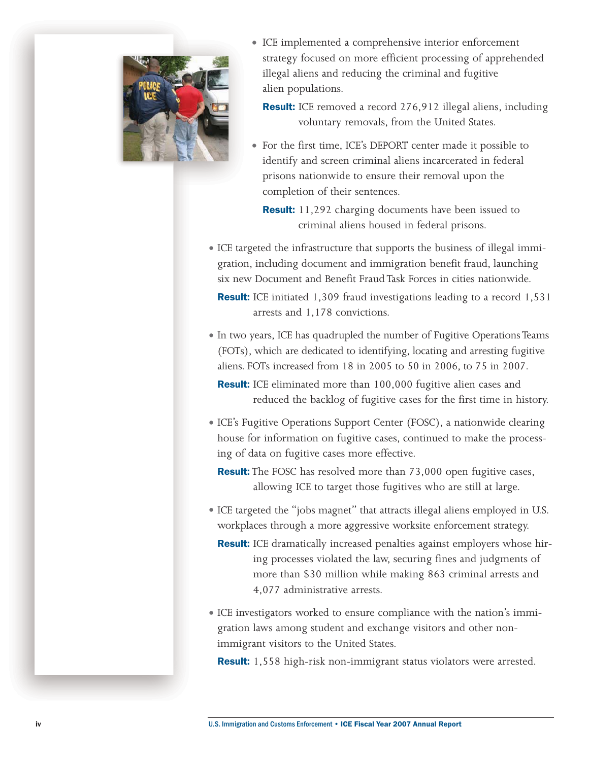

- ICE implemented a comprehensive interior enforcement strategy focused on more efficient processing of apprehended illegal aliens and reducing the criminal and fugitive alien populations.
	- **Result:** ICE removed a record 276,912 illegal aliens, including voluntary removals, from the United States.
- For the first time, ICE's DEPORT center made it possible to identify and screen criminal aliens incarcerated in federal prisons nationwide to ensure their removal upon the completion of their sentences.

**Result:** 11,292 charging documents have been issued to criminal aliens housed in federal prisons.

• ICE targeted the infrastructure that supports the business of illegal immigration, including document and immigration benefit fraud, launching six new Document and Benefit Fraud Task Forces in cities nationwide.

Result: ICE initiated 1,309 fraud investigations leading to a record 1,531 arrests and 1,178 convictions.

• In two years, ICE has quadrupled the number of Fugitive Operations Teams (FOTs), which are dedicated to identifying, locating and arresting fugitive aliens. FOTs increased from 18 in 2005 to 50 in 2006, to 75 in 2007.

**Result:** ICE eliminated more than 100,000 fugitive alien cases and reduced the backlog of fugitive cases for the first time in history.

• ICE's Fugitive Operations Support Center (FOSC), a nationwide clearing house for information on fugitive cases, continued to make the processing of data on fugitive cases more effective.

**Result:** The FOSC has resolved more than 73,000 open fugitive cases, allowing ICE to target those fugitives who are still at large.

- ICE targeted the "jobs magnet" that attracts illegal aliens employed in U.S. workplaces through a more aggressive worksite enforcement strategy.
	- **Result:** ICE dramatically increased penalties against employers whose hiring processes violated the law, securing fines and judgments of more than \$30 million while making 863 criminal arrests and 4,077 administrative arrests.
- ICE investigators worked to ensure compliance with the nation's immigration laws among student and exchange visitors and other nonimmigrant visitors to the United States.

**Result:** 1,558 high-risk non-immigrant status violators were arrested.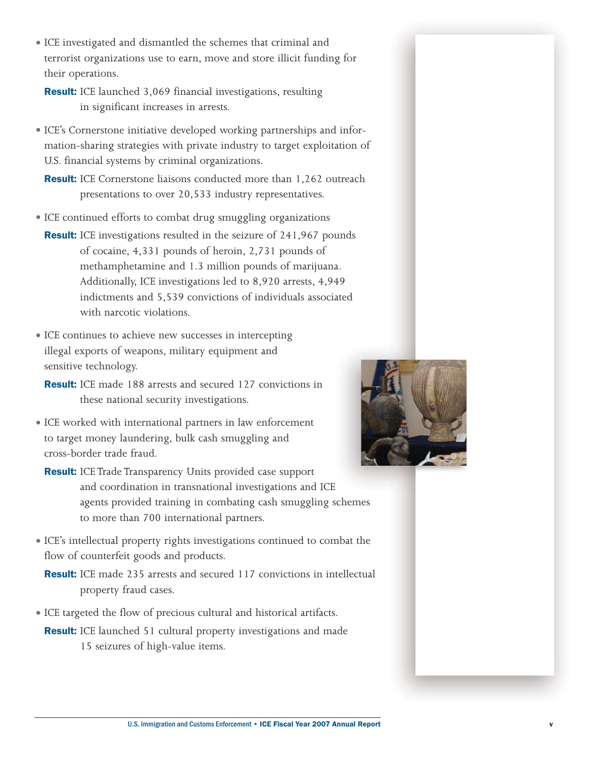- ICE investigated and dismantled the schemes that criminal and terrorist organizations use to earn, move and store illicit funding for their operations.
	- Result: ICE launched 3,069 financial investigations, resulting in significant increases in arrests.
- ICE's Cornerstone initiative developed working partnerships and information-sharing strategies with private industry to target exploitation of U.S. financial systems by criminal organizations.
	- Result: ICE Cornerstone liaisons conducted more than 1,262 outreach presentations to over 20,533 industry representatives.
- ICE continued efforts to combat drug smuggling organizations
- **Result:** ICE investigations resulted in the seizure of 241,967 pounds of cocaine, 4,331 pounds of heroin, 2,731 pounds of methamphetamine and 1.3 million pounds of marijuana. Additionally, ICE investigations led to 8,920 arrests, 4,949 indictments and 5,539 convictions of individuals associated with narcotic violations.
- ICE continues to achieve new successes in intercepting illegal exports of weapons, military equipment and sensitive technology.
	- Result: ICE made 188 arrests and secured 127 convictions in these national security investigations.
- ICE worked with international partners in law enforcement to target money laundering, bulk cash smuggling and cross-border trade fraud.
	- Result: ICE Trade Transparency Units provided case support and coordination in transnational investigations and ICE agents provided training in combating cash smuggling schemes to more than 700 international partners.
- ICE's intellectual property rights investigations continued to combat the flow of counterfeit goods and products.
	- Result: ICE made 235 arrests and secured 117 convictions in intellectual property fraud cases.
- ICE targeted the flow of precious cultural and historical artifacts. Result: ICE launched 51 cultural property investigations and made 15 seizures of high-value items.

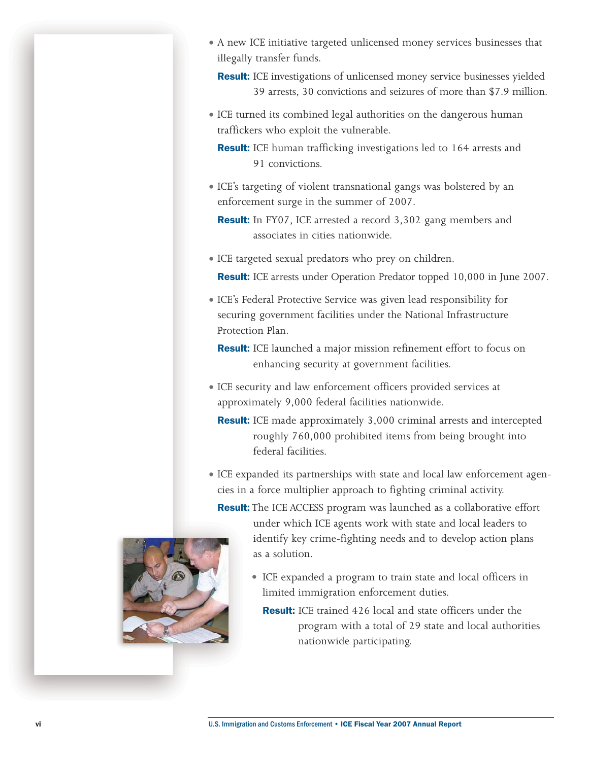• A new ICE initiative targeted unlicensed money services businesses that illegally transfer funds.

**Result:** ICE investigations of unlicensed money service businesses yielded 39 arrests, 30 convictions and seizures of more than \$7.9 million.

• ICE turned its combined legal authorities on the dangerous human traffickers who exploit the vulnerable.

Result: ICE human trafficking investigations led to 164 arrests and 91 convictions.

• ICE's targeting of violent transnational gangs was bolstered by an enforcement surge in the summer of 2007.

**Result:** In FY07, ICE arrested a record 3,302 gang members and associates in cities nationwide.

• ICE targeted sexual predators who prey on children.

Result: ICE arrests under Operation Predator topped 10,000 in June 2007.

• ICE's Federal Protective Service was given lead responsibility for securing government facilities under the National Infrastructure Protection Plan.

Result: ICE launched a major mission refinement effort to focus on enhancing security at government facilities.

- ICE security and law enforcement officers provided services at approximately 9,000 federal facilities nationwide.
	- **Result:** ICE made approximately 3,000 criminal arrests and intercepted roughly 760,000 prohibited items from being brought into federal facilities.
- ICE expanded its partnerships with state and local law enforcement agencies in a force multiplier approach to fighting criminal activity.

**Result:** The ICE ACCESS program was launched as a collaborative effort



- ICE expanded a program to train state and local officers in limited immigration enforcement duties.
	- Result: ICE trained 426 local and state officers under the program with a total of 29 state and local authorities nationwide participating.

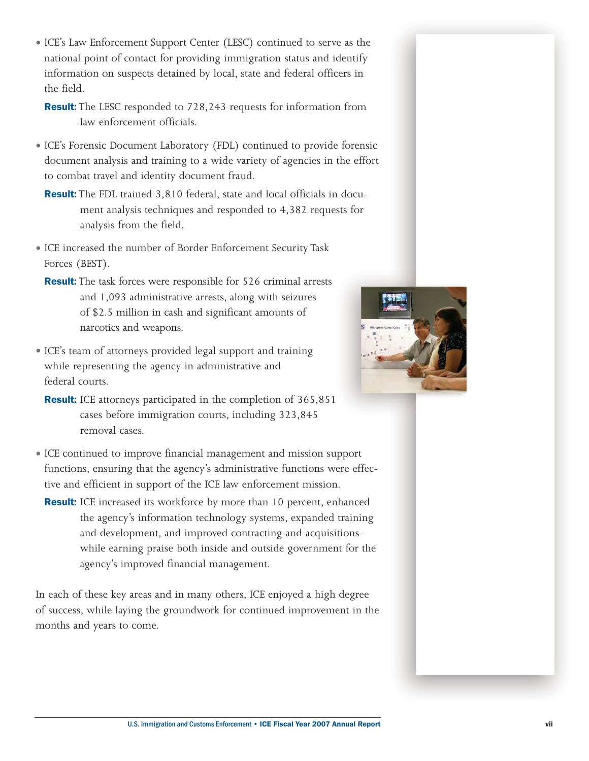• ICE's Law Enforcement Support Center (LESC) continued to serve as the national point of contact for providing immigration status and identify information on suspects detained by local, state and federal officers in the field.

**Result:** The LESC responded to 728,243 requests for information from law enforcement officials.

- ICE's Forensic Document Laboratory (FDL) continued to provide forensic document analysis and training to a wide variety of agencies in the effort to combat travel and identity document fraud.
	- Result: The FDL trained 3,810 federal, state and local officials in document analysis techniques and responded to 4,382 requests for analysis from the field.
- ICE increased the number of Border Enforcement Security Task Forces (BEST).
	- Result: The task forces were responsible for 526 criminal arrests and 1,093 administrative arrests, along with seizures of \$2.5 million in cash and significant amounts of narcotics and weapons.
- ICE's team of attorneys provided legal support and training while representing the agency in administrative and federal courts.
	- **Result:** ICE attorneys participated in the completion of 365,851 cases before immigration courts, including 323,845 removal cases.
- ICE continued to improve financial management and mission support functions, ensuring that the agency's administrative functions were effective and efficient in support of the ICE law enforcement mission.
	- Result: ICE increased its workforce by more than 10 percent, enhanced the agency's information technology systems, expanded training and development, and improved contracting and acquisitionswhile earning praise both inside and outside government for the agency's improved financial management.

In each of these key areas and in many others, ICE enjoyed a high degree of success, while laying the groundwork for continued improvement in the months and years to come.

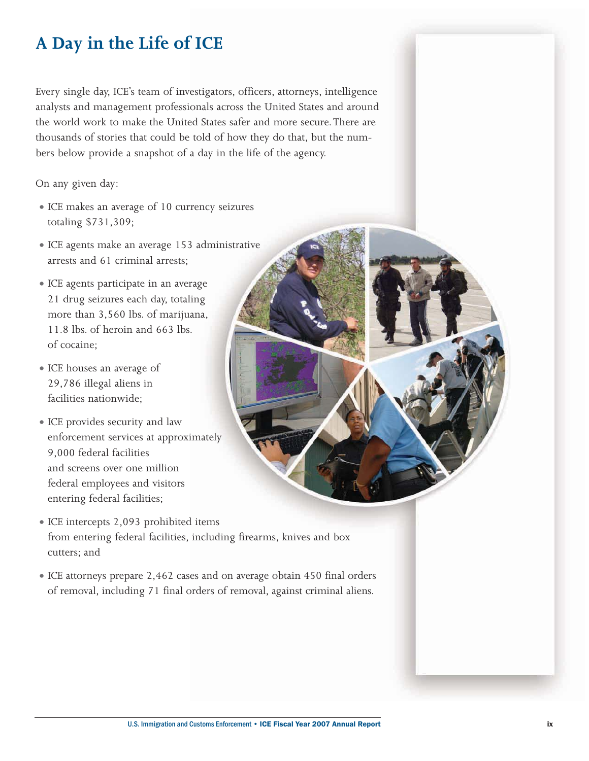# **A Day in the Life of ICE**

Every single day, ICE's team of investigators, officers, attorneys, intelligence analysts and management professionals across the United States and around the world work to make the United States safer and more secure. There are thousands of stories that could be told of how they do that, but the numbers below provide a snapshot of a day in the life of the agency.

On any given day:

- ICE makes an average of 10 currency seizures totaling \$731,309;
- ICE agents make an average 153 administrative arrests and 61 criminal arrests;
- ICE agents participate in an average 21 drug seizures each day, totaling more than 3,560 lbs. of marijuana, 11.8 lbs. of heroin and 663 lbs. of cocaine;
- ICE houses an average of 29,786 illegal aliens in facilities nationwide;
- ICE provides security and law enforcement services at approximately 9,000 federal facilities and screens over one million federal employees and visitors entering federal facilities;
- ICE intercepts 2,093 prohibited items from entering federal facilities, including firearms, knives and box cutters; and
- ICE attorneys prepare 2,462 cases and on average obtain 450 final orders of removal, including 71 final orders of removal, against criminal aliens.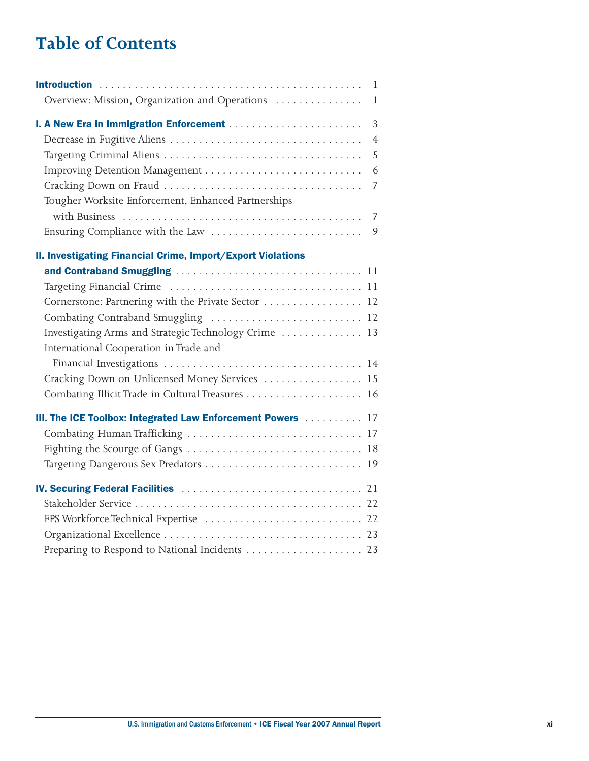# **Table of Contents**

| Overview: Mission, Organization and Operations                     | $\mathbf{1}$   |
|--------------------------------------------------------------------|----------------|
|                                                                    | $\overline{3}$ |
| Decrease in Fugitive Aliens                                        | $\overline{4}$ |
|                                                                    | 5              |
|                                                                    | 6              |
|                                                                    | 7              |
| Tougher Worksite Enforcement, Enhanced Partnerships                |                |
|                                                                    | $\overline{7}$ |
| Ensuring Compliance with the Law                                   | 9              |
| <b>II. Investigating Financial Crime, Import/Export Violations</b> |                |
|                                                                    |                |
|                                                                    |                |
| Cornerstone: Partnering with the Private Sector  12                |                |
| Combating Contraband Smuggling  12                                 |                |
| Investigating Arms and Strategic Technology Crime  13              |                |
| International Cooperation in Trade and                             |                |
|                                                                    |                |
| Cracking Down on Unlicensed Money Services  15                     |                |
|                                                                    |                |
| III. The ICE Toolbox: Integrated Law Enforcement Powers  17        |                |
|                                                                    |                |
|                                                                    |                |
|                                                                    |                |
|                                                                    |                |
|                                                                    |                |
|                                                                    |                |
|                                                                    |                |
| Preparing to Respond to National Incidents  23                     |                |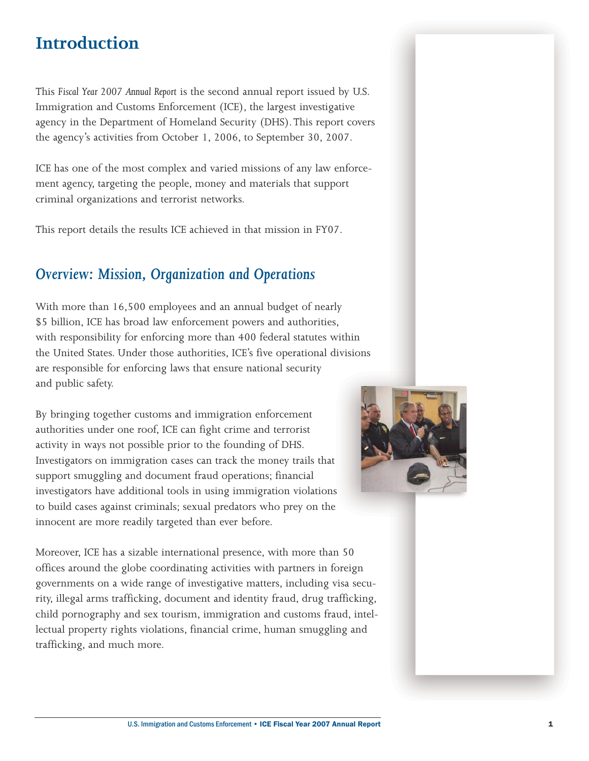# **Introduction**

This *Fiscal Year 2007 Annual Report* is the second annual report issued by U.S. Immigration and Customs Enforcement (ICE), the largest investigative agency in the Department of Homeland Security (DHS).This report covers the agency's activities from October 1, 2006, to September 30, 2007.

ICE has one of the most complex and varied missions of any law enforcement agency, targeting the people, money and materials that support criminal organizations and terrorist networks.

This report details the results ICE achieved in that mission in FY07.

### *Overview: Mission, Organization and Operations*

With more than 16,500 employees and an annual budget of nearly \$5 billion, ICE has broad law enforcement powers and authorities, with responsibility for enforcing more than 400 federal statutes within the United States. Under those authorities, ICE's five operational divisions are responsible for enforcing laws that ensure national security and public safety.

By bringing together customs and immigration enforcement authorities under one roof, ICE can fight crime and terrorist activity in ways not possible prior to the founding of DHS. Investigators on immigration cases can track the money trails that support smuggling and document fraud operations; financial investigators have additional tools in using immigration violations to build cases against criminals; sexual predators who prey on the innocent are more readily targeted than ever before.



Moreover, ICE has a sizable international presence, with more than 50 offices around the globe coordinating activities with partners in foreign governments on a wide range of investigative matters, including visa security, illegal arms trafficking, document and identity fraud, drug trafficking, child pornography and sex tourism, immigration and customs fraud, intellectual property rights violations, financial crime, human smuggling and trafficking, and much more.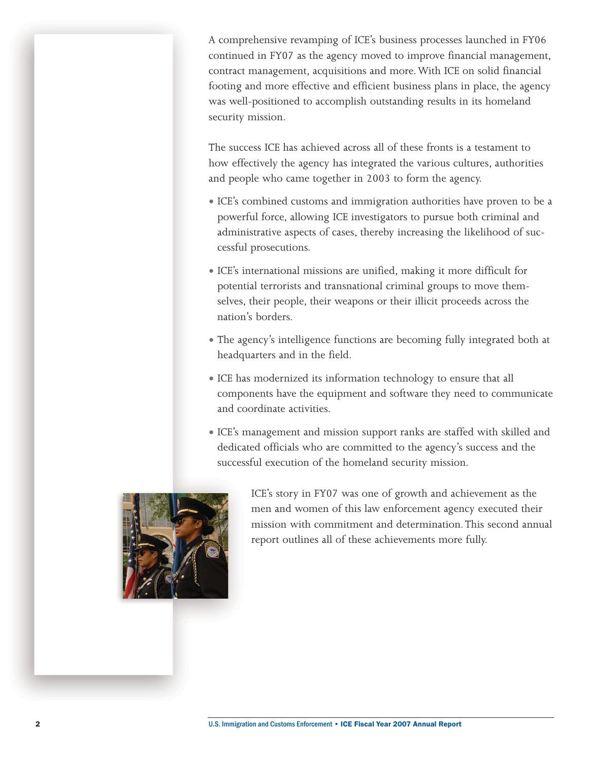A comprehensive revamping of ICE's business processes launched in FY06 continued in FY07 as the agency moved to improve financial management, contract management, acquisitions and more. With ICE on solid financial footing and more effective and efficient business plans in place, the agency was well-positioned to accomplish outstanding results in its homeland security mission.

The success ICE has achieved across all of these fronts is a testament to how effectively the agency has integrated the various cultures, authorities and people who came together in 2003 to form the agency.

- ICE's combined customs and immigration authorities have proven to be a powerful force, allowing ICE investigators to pursue both criminal and administrative aspects of cases, thereby increasing the likelihood of successful prosecutions.
- ICE's international missions are unified, making it more difficult for potential terrorists and transnational criminal groups to move themselves, their people, their weapons or their illicit proceeds across the nation's borders.
- The agency's intelligence functions are becoming fully integrated both at headquarters and in the field.
- ICE has modernized its information technology to ensure that all components have the equipment and software they need to communicate and coordinate activities.
- ICE's management and mission support ranks are staffed with skilled and dedicated officials who are committed to the agency's success and the successful execution of the homeland security mission.



ICE's story in FY07 was one of growth and achievement as the men and women of this law enforcement agency executed their mission with commitment and determination. This second annual report outlines all of these achievements more fully.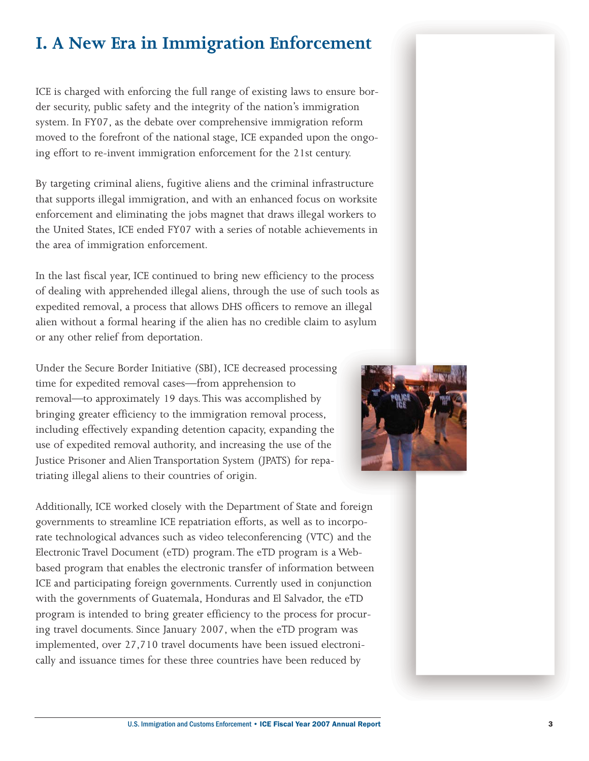# **I. A New Era in Immigration Enforcement**

ICE is charged with enforcing the full range of existing laws to ensure border security, public safety and the integrity of the nation's immigration system. In FY07, as the debate over comprehensive immigration reform moved to the forefront of the national stage, ICE expanded upon the ongoing effort to re-invent immigration enforcement for the 21st century.

By targeting criminal aliens, fugitive aliens and the criminal infrastructure that supports illegal immigration, and with an enhanced focus on worksite enforcement and eliminating the jobs magnet that draws illegal workers to the United States, ICE ended FY07 with a series of notable achievements in the area of immigration enforcement.

In the last fiscal year, ICE continued to bring new efficiency to the process of dealing with apprehended illegal aliens, through the use of such tools as expedited removal, a process that allows DHS officers to remove an illegal alien without a formal hearing if the alien has no credible claim to asylum or any other relief from deportation.

Under the Secure Border Initiative (SBI), ICE decreased processing time for expedited removal cases—from apprehension to removal—to approximately 19 days.This was accomplished by bringing greater efficiency to the immigration removal process, including effectively expanding detention capacity, expanding the use of expedited removal authority, and increasing the use of the Justice Prisoner and Alien Transportation System (JPATS) for repatriating illegal aliens to their countries of origin.



Additionally, ICE worked closely with the Department of State and foreign governments to streamline ICE repatriation efforts, as well as to incorporate technological advances such as video teleconferencing (VTC) and the Electronic Travel Document (eTD) program. The eTD program is a Webbased program that enables the electronic transfer of information between ICE and participating foreign governments. Currently used in conjunction with the governments of Guatemala, Honduras and El Salvador, the eTD program is intended to bring greater efficiency to the process for procuring travel documents. Since January 2007, when the eTD program was implemented, over 27,710 travel documents have been issued electronically and issuance times for these three countries have been reduced by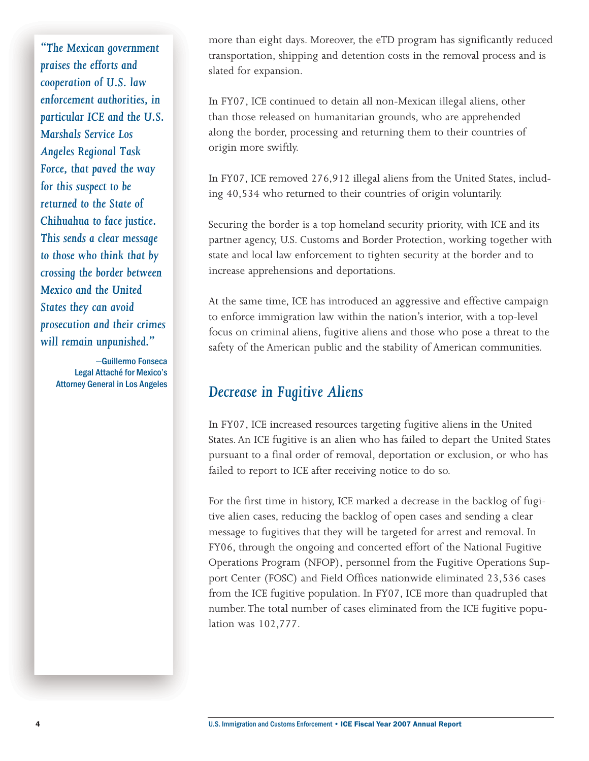*"The Mexican government praises the efforts and cooperation of U.S. law enforcement authorities, in particular ICE and the U.S. Marshals Service Los Angeles Regional Task Force, that paved the way for this suspect to be returned to the State of Chihuahua to face justice. This sends a clear message to those who think that by crossing the border between Mexico and the United States they can avoid prosecution and their crimes will remain unpunished."* 

> —Guillermo Fonseca Legal Attaché for Mexico's Attorney General in Los Angeles

more than eight days. Moreover, the eTD program has significantly reduced transportation, shipping and detention costs in the removal process and is slated for expansion.

In FY07, ICE continued to detain all non-Mexican illegal aliens, other than those released on humanitarian grounds, who are apprehended along the border, processing and returning them to their countries of origin more swiftly.

In FY07, ICE removed 276,912 illegal aliens from the United States, including 40,534 who returned to their countries of origin voluntarily.

Securing the border is a top homeland security priority, with ICE and its partner agency, U.S. Customs and Border Protection, working together with state and local law enforcement to tighten security at the border and to increase apprehensions and deportations.

At the same time, ICE has introduced an aggressive and effective campaign to enforce immigration law within the nation's interior, with a top-level focus on criminal aliens, fugitive aliens and those who pose a threat to the safety of the American public and the stability of American communities.

### *Decrease in Fugitive Aliens*

In FY07, ICE increased resources targeting fugitive aliens in the United States. An ICE fugitive is an alien who has failed to depart the United States pursuant to a final order of removal, deportation or exclusion, or who has failed to report to ICE after receiving notice to do so.

For the first time in history, ICE marked a decrease in the backlog of fugitive alien cases, reducing the backlog of open cases and sending a clear message to fugitives that they will be targeted for arrest and removal. In FY06, through the ongoing and concerted effort of the National Fugitive Operations Program (NFOP), personnel from the Fugitive Operations Support Center (FOSC) and Field Offices nationwide eliminated 23,536 cases from the ICE fugitive population. In FY07, ICE more than quadrupled that number.The total number of cases eliminated from the ICE fugitive population was 102,777.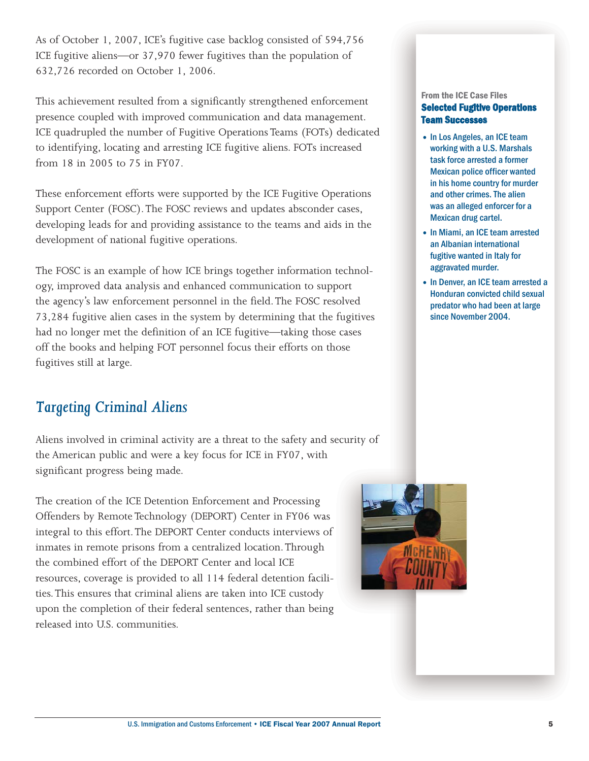As of October 1, 2007, ICE's fugitive case backlog consisted of 594,756 ICE fugitive aliens—or 37,970 fewer fugitives than the population of 632,726 recorded on October 1, 2006.

This achievement resulted from a significantly strengthened enforcement presence coupled with improved communication and data management. ICE quadrupled the number of Fugitive Operations Teams (FOTs) dedicated to identifying, locating and arresting ICE fugitive aliens. FOTs increased from 18 in 2005 to 75 in FY07.

These enforcement efforts were supported by the ICE Fugitive Operations Support Center (FOSC).The FOSC reviews and updates absconder cases, developing leads for and providing assistance to the teams and aids in the development of national fugitive operations.

The FOSC is an example of how ICE brings together information technology, improved data analysis and enhanced communication to support the agency's law enforcement personnel in the field. The FOSC resolved 73,284 fugitive alien cases in the system by determining that the fugitives had no longer met the definition of an ICE fugitive—taking those cases off the books and helping FOT personnel focus their efforts on those fugitives still at large.

### *Targeting Criminal Aliens*

Aliens involved in criminal activity are a threat to the safety and security of the American public and were a key focus for ICE in FY07, with significant progress being made.

The creation of the ICE Detention Enforcement and Processing Offenders by Remote Technology (DEPORT) Center in FY06 was integral to this effort. The DEPORT Center conducts interviews of inmates in remote prisons from a centralized location. Through the combined effort of the DEPORT Center and local ICE resources, coverage is provided to all 114 federal detention facilities.This ensures that criminal aliens are taken into ICE custody upon the completion of their federal sentences, rather than being released into U.S. communities.



#### From the ICE Case Files Selected Fugitive Operations Team Successes

- In Los Angeles, an ICE team working with a U.S. Marshals task force arrested a former Mexican police officer wanted in his home country for murder and other crimes. The alien was an alleged enforcer for a Mexican drug cartel.
- In Miami, an ICE team arrested an Albanian international fugitive wanted in Italy for aggravated murder.
- In Denver, an ICE team arrested a Honduran convicted child sexual predator who had been at large since November 2004.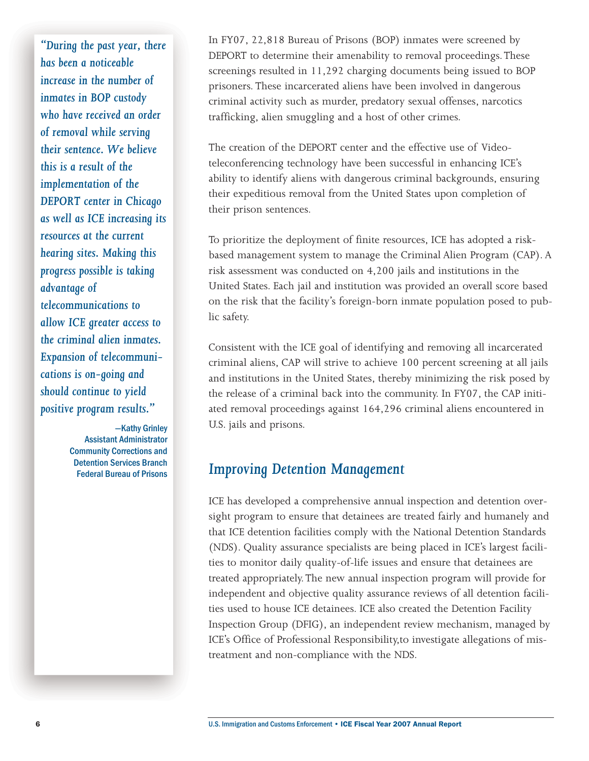*"During the past year, there has been a noticeable increase in the number of inmates in BOP custody who have received an order of removal while serving their sentence. We believe this is a result of the implementation of the DEPORT center in Chicago as well as ICE increasing its resources at the current hearing sites. Making this progress possible is taking advantage of telecommunications to allow ICE greater access to the criminal alien inmates. Expansion of telecommunications is on-going and should continue to yield positive program results."* 

> —Kathy Grinley Assistant Administrator Community Corrections and Detention Services Branch Federal Bureau of Prisons

In FY07, 22,818 Bureau of Prisons (BOP) inmates were screened by DEPORT to determine their amenability to removal proceedings.These screenings resulted in 11,292 charging documents being issued to BOP prisoners. These incarcerated aliens have been involved in dangerous criminal activity such as murder, predatory sexual offenses, narcotics trafficking, alien smuggling and a host of other crimes.

The creation of the DEPORT center and the effective use of Videoteleconferencing technology have been successful in enhancing ICE's ability to identify aliens with dangerous criminal backgrounds, ensuring their expeditious removal from the United States upon completion of their prison sentences.

To prioritize the deployment of finite resources, ICE has adopted a riskbased management system to manage the Criminal Alien Program (CAP). A risk assessment was conducted on 4,200 jails and institutions in the United States. Each jail and institution was provided an overall score based on the risk that the facility's foreign-born inmate population posed to public safety.

Consistent with the ICE goal of identifying and removing all incarcerated criminal aliens, CAP will strive to achieve 100 percent screening at all jails and institutions in the United States, thereby minimizing the risk posed by the release of a criminal back into the community. In FY07, the CAP initiated removal proceedings against 164,296 criminal aliens encountered in U.S. jails and prisons.

### *Improving Detention Management*

ICE has developed a comprehensive annual inspection and detention oversight program to ensure that detainees are treated fairly and humanely and that ICE detention facilities comply with the National Detention Standards (NDS). Quality assurance specialists are being placed in ICE's largest facilities to monitor daily quality-of-life issues and ensure that detainees are treated appropriately. The new annual inspection program will provide for independent and objective quality assurance reviews of all detention facilities used to house ICE detainees. ICE also created the Detention Facility Inspection Group (DFIG), an independent review mechanism, managed by ICE's Office of Professional Responsibility,to investigate allegations of mistreatment and non-compliance with the NDS.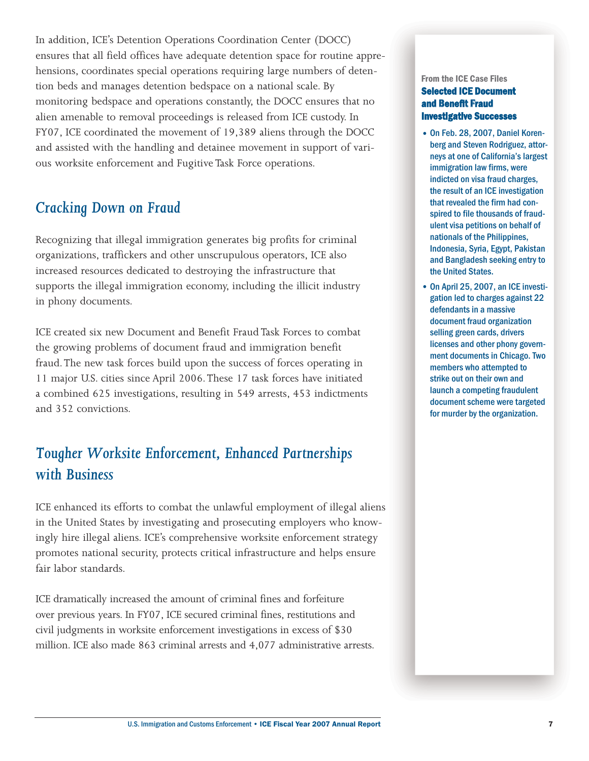In addition, ICE's Detention Operations Coordination Center (DOCC) ensures that all field offices have adequate detention space for routine apprehensions, coordinates special operations requiring large numbers of detention beds and manages detention bedspace on a national scale. By monitoring bedspace and operations constantly, the DOCC ensures that no alien amenable to removal proceedings is released from ICE custody. In FY07, ICE coordinated the movement of 19,389 aliens through the DOCC and assisted with the handling and detainee movement in support of various worksite enforcement and Fugitive Task Force operations.

### *Cracking Down on Fraud*

Recognizing that illegal immigration generates big profits for criminal organizations, traffickers and other unscrupulous operators, ICE also increased resources dedicated to destroying the infrastructure that supports the illegal immigration economy, including the illicit industry in phony documents.

ICE created six new Document and Benefit Fraud Task Forces to combat the growing problems of document fraud and immigration benefit fraud.The new task forces build upon the success of forces operating in 11 major U.S. cities since April 2006. These 17 task forces have initiated a combined 625 investigations, resulting in 549 arrests, 453 indictments and 352 convictions.

# *Tougher Worksite Enforcement, Enhanced Partnerships with Business*

ICE enhanced its efforts to combat the unlawful employment of illegal aliens in the United States by investigating and prosecuting employers who knowingly hire illegal aliens. ICE's comprehensive worksite enforcement strategy promotes national security, protects critical infrastructure and helps ensure fair labor standards.

ICE dramatically increased the amount of criminal fines and forfeiture over previous years. In FY07, ICE secured criminal fines, restitutions and civil judgments in worksite enforcement investigations in excess of \$30 million. ICE also made 863 criminal arrests and 4,077 administrative arrests.

#### From the ICE Case Files Selected ICE Document and Benefit Fraud Investigative Successes

- •On Feb. 28, 2007, Daniel Korenberg and Steven Rodriguez, attorneys at one of California's largest immigration law firms, were indicted on visa fraud charges, the result of an ICE investigation that revealed the firm had conspired to file thousands of fraudulent visa petitions on behalf of nationals of the Philippines, Indonesia, Syria, Egypt, Pakistan and Bangladesh seeking entry to the United States.
- •On April 25, 2007, an ICE investigation led to charges against 22 defendants in a massive document fraud organization selling green cards, drivers licenses and other phony government documents in Chicago. Two members who attempted to strike out on their own and launch a competing fraudulent document scheme were targeted for murder by the organization.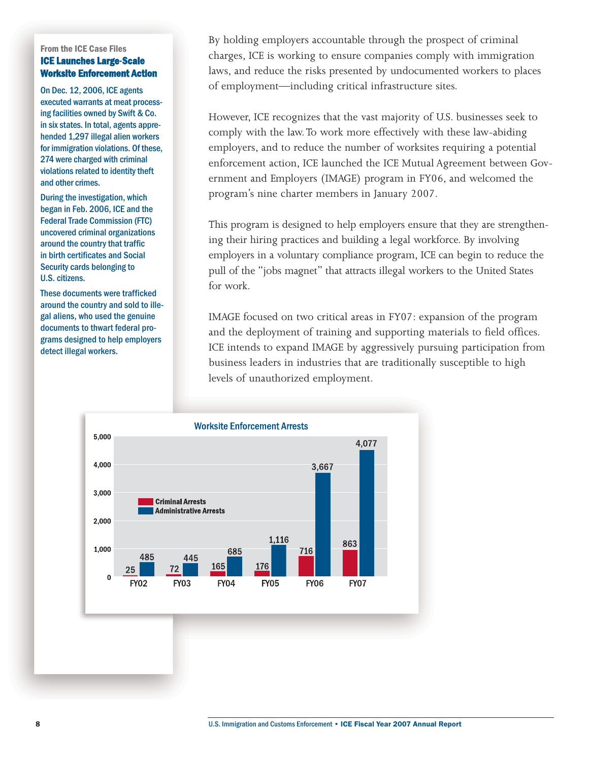#### From the ICE Case Files ICE Launches Large-Scale Worksite Enforcement Action

On Dec. 12, 2006, ICE agents executed warrants at meat processing facilities owned by Swift & Co. in six states. In total, agents apprehended 1,297 illegal alien workers for immigration violations. Of these, 274 were charged with criminal violations related to identity theft and other crimes.

During the investigation, which began in Feb. 2006, ICE and the Federal Trade Commission (FTC) uncovered criminal organizations around the country that traffic in birth certificates and Social Security cards belonging to U.S. citizens.

These documents were trafficked around the country and sold to illegal aliens, who used the genuine documents to thwart federal programs designed to help employers detect illegal workers.

By holding employers accountable through the prospect of criminal charges, ICE is working to ensure companies comply with immigration laws, and reduce the risks presented by undocumented workers to places of employment—including critical infrastructure sites.

However, ICE recognizes that the vast majority of U.S. businesses seek to comply with the law.To work more effectively with these law-abiding employers, and to reduce the number of worksites requiring a potential enforcement action, ICE launched the ICE Mutual Agreement between Government and Employers (IMAGE) program in FY06, and welcomed the program's nine charter members in January 2007.

This program is designed to help employers ensure that they are strengthening their hiring practices and building a legal workforce. By involving employers in a voluntary compliance program, ICE can begin to reduce the pull of the "jobs magnet" that attracts illegal workers to the United States for work.

IMAGE focused on two critical areas in FY07: expansion of the program and the deployment of training and supporting materials to field offices. ICE intends to expand IMAGE by aggressively pursuing participation from business leaders in industries that are traditionally susceptible to high levels of unauthorized employment.

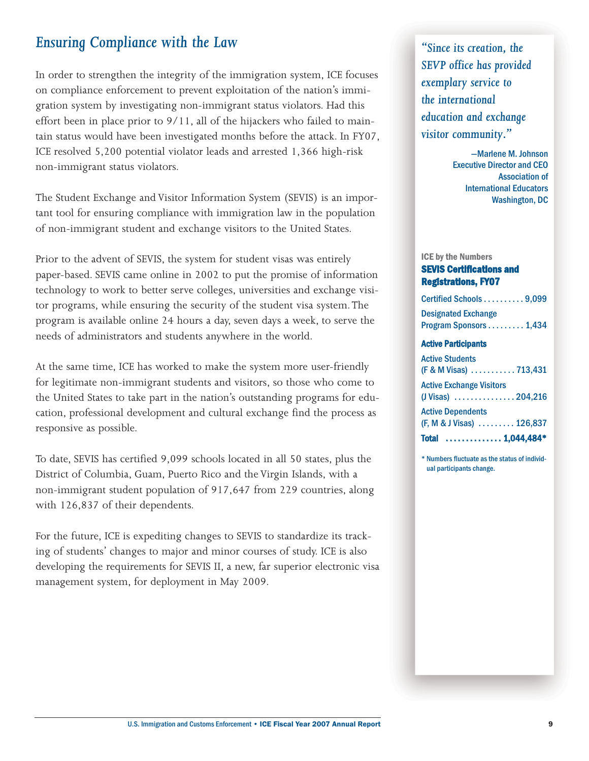### *Ensuring Compliance with the Law*

In order to strengthen the integrity of the immigration system, ICE focuses on compliance enforcement to prevent exploitation of the nation's immigration system by investigating non-immigrant status violators. Had this effort been in place prior to 9/11, all of the hijackers who failed to maintain status would have been investigated months before the attack. In FY07, ICE resolved 5,200 potential violator leads and arrested 1,366 high-risk non-immigrant status violators.

The Student Exchange and Visitor Information System (SEVIS) is an important tool for ensuring compliance with immigration law in the population of non-immigrant student and exchange visitors to the United States.

Prior to the advent of SEVIS, the system for student visas was entirely paper-based. SEVIS came online in 2002 to put the promise of information technology to work to better serve colleges, universities and exchange visitor programs, while ensuring the security of the student visa system. The program is available online 24 hours a day, seven days a week, to serve the needs of administrators and students anywhere in the world.

At the same time, ICE has worked to make the system more user-friendly for legitimate non-immigrant students and visitors, so those who come to the United States to take part in the nation's outstanding programs for education, professional development and cultural exchange find the process as responsive as possible.

To date, SEVIS has certified 9,099 schools located in all 50 states, plus the District of Columbia, Guam, Puerto Rico and the Virgin Islands, with a non-immigrant student population of 917,647 from 229 countries, along with 126,837 of their dependents.

For the future, ICE is expediting changes to SEVIS to standardize its tracking of students' changes to major and minor courses of study. ICE is also developing the requirements for SEVIS II, a new, far superior electronic visa management system, for deployment in May 2009.

*"Since its creation, the SEVP office has provided exemplary service to the international education and exchange visitor community."* 

> —Marlene M. Johnson Executive Director and CEO Association of International Educators Washington, DC

#### ICE by the Numbers SEVIS Certifications and Registrations, FY07

| Certified Schools  9,099   |  |
|----------------------------|--|
| <b>Designated Exchange</b> |  |
| Program Sponsors 1,434     |  |

#### Active Participants

| Total  1,044,484*               |
|---------------------------------|
| $(F, M & J V is as)$ 126,837    |
| <b>Active Dependents</b>        |
| (J Visas) $\ldots$ 204,216      |
| <b>Active Exchange Visitors</b> |
| (F & M Visas)  713,431          |
| <b>Active Students</b>          |

\* Numbers fluctuate as the status of individual participants change.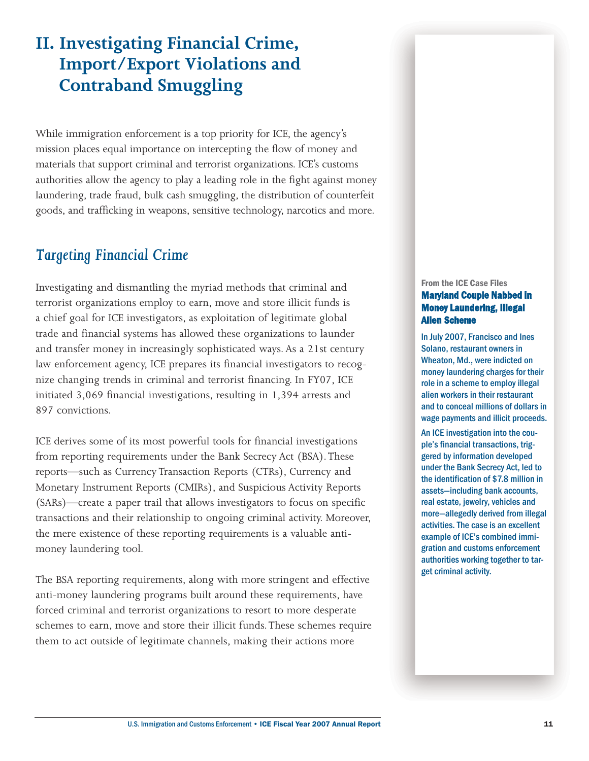# **II. Investigating Financial Crime, Import/Export Violations and Contraband Smuggling**

While immigration enforcement is a top priority for ICE, the agency's mission places equal importance on intercepting the flow of money and materials that support criminal and terrorist organizations. ICE's customs authorities allow the agency to play a leading role in the fight against money laundering, trade fraud, bulk cash smuggling, the distribution of counterfeit goods, and trafficking in weapons, sensitive technology, narcotics and more.

### *Targeting Financial Crime*

Investigating and dismantling the myriad methods that criminal and terrorist organizations employ to earn, move and store illicit funds is a chief goal for ICE investigators, as exploitation of legitimate global trade and financial systems has allowed these organizations to launder and transfer money in increasingly sophisticated ways. As a 21st century law enforcement agency, ICE prepares its financial investigators to recognize changing trends in criminal and terrorist financing. In FY07, ICE initiated 3,069 financial investigations, resulting in 1,394 arrests and 897 convictions.

ICE derives some of its most powerful tools for financial investigations from reporting requirements under the Bank Secrecy Act (BSA).These reports—such as Currency Transaction Reports (CTRs), Currency and Monetary Instrument Reports (CMIRs), and Suspicious Activity Reports (SARs)—create a paper trail that allows investigators to focus on specific transactions and their relationship to ongoing criminal activity. Moreover, the mere existence of these reporting requirements is a valuable antimoney laundering tool.

The BSA reporting requirements, along with more stringent and effective anti-money laundering programs built around these requirements, have forced criminal and terrorist organizations to resort to more desperate schemes to earn, move and store their illicit funds. These schemes require them to act outside of legitimate channels, making their actions more

#### From the ICE Case Files Maryland Couple Nabbed in Money Laundering, Illegal Alien Scheme

In July 2007, Francisco and Ines Solano, restaurant owners in Wheaton, Md., were indicted on money laundering charges for their role in a scheme to employ illegal alien workers in their restaurant and to conceal millions of dollars in wage payments and illicit proceeds.

An ICE investigation into the couple's financial transactions, triggered by information developed under the Bank Secrecy Act, led to the identification of \$7.8 million in assets—including bank accounts, real estate, jewelry, vehicles and more—allegedly derived from illegal activities. The case is an excellent example of ICE's combined immigration and customs enforcement authorities working together to target criminal activity.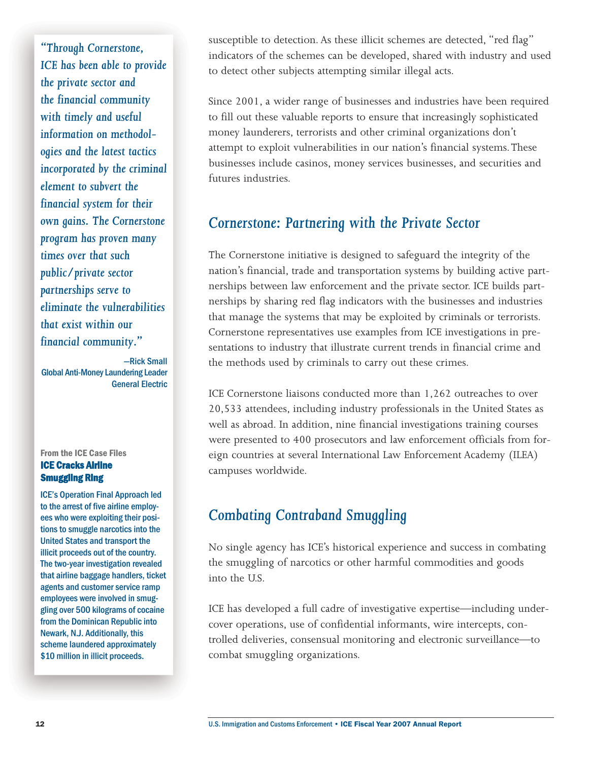*"Through Cornerstone, ICE has been able to provide the private sector and the financial community with timely and useful information on methodologies and the latest tactics incorporated by the criminal element to subvert the financial system for their own gains. The Cornerstone program has proven many times over that such public/private sector partnerships serve to eliminate the vulnerabilities that exist within our financial community."* 

—Rick Small Global Anti-Money Laundering Leader General Electric

#### From the ICE Case Files ICE Cracks Airline Smuggling Ring

ICE's Operation Final Approach led to the arrest of five airline employees who were exploiting their positions to smuggle narcotics into the United States and transport the illicit proceeds out of the country. The two-year investigation revealed that airline baggage handlers, ticket agents and customer service ramp employees were involved in smuggling over 500 kilograms of cocaine from the Dominican Republic into Newark, N.J. Additionally, this scheme laundered approximately \$10 million in illicit proceeds.

susceptible to detection. As these illicit schemes are detected, "red flag" indicators of the schemes can be developed, shared with industry and used to detect other subjects attempting similar illegal acts.

Since 2001, a wider range of businesses and industries have been required to fill out these valuable reports to ensure that increasingly sophisticated money launderers, terrorists and other criminal organizations don't attempt to exploit vulnerabilities in our nation's financial systems. These businesses include casinos, money services businesses, and securities and futures industries.

### *Cornerstone: Partnering with the Private Sector*

The Cornerstone initiative is designed to safeguard the integrity of the nation's financial, trade and transportation systems by building active partnerships between law enforcement and the private sector. ICE builds partnerships by sharing red flag indicators with the businesses and industries that manage the systems that may be exploited by criminals or terrorists. Cornerstone representatives use examples from ICE investigations in presentations to industry that illustrate current trends in financial crime and the methods used by criminals to carry out these crimes.

ICE Cornerstone liaisons conducted more than 1,262 outreaches to over 20,533 attendees, including industry professionals in the United States as well as abroad. In addition, nine financial investigations training courses were presented to 400 prosecutors and law enforcement officials from foreign countries at several International Law Enforcement Academy (ILEA) campuses worldwide.

### *Combating Contraband Smuggling*

No single agency has ICE's historical experience and success in combating the smuggling of narcotics or other harmful commodities and goods into the U.S.

ICE has developed a full cadre of investigative expertise—including undercover operations, use of confidential informants, wire intercepts, controlled deliveries, consensual monitoring and electronic surveillance—to combat smuggling organizations.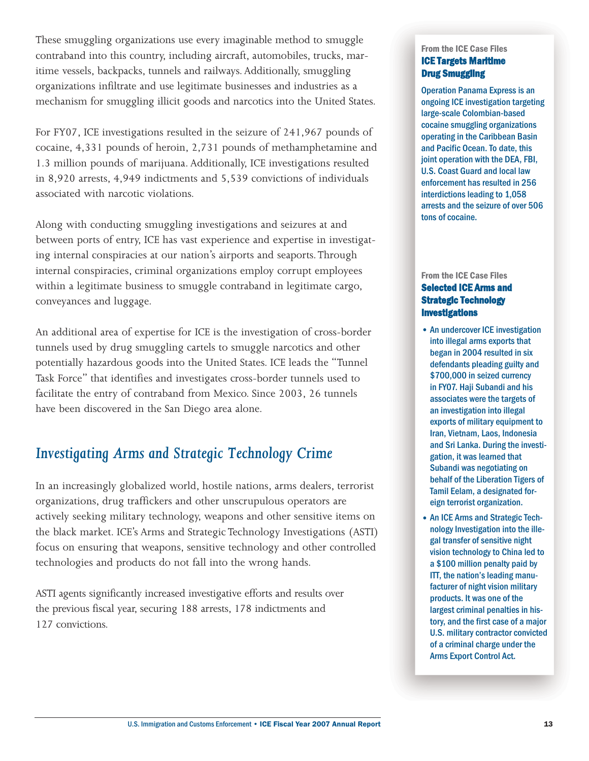These smuggling organizations use every imaginable method to smuggle contraband into this country, including aircraft, automobiles, trucks, maritime vessels, backpacks, tunnels and railways. Additionally, smuggling organizations infiltrate and use legitimate businesses and industries as a mechanism for smuggling illicit goods and narcotics into the United States.

For FY07, ICE investigations resulted in the seizure of 241,967 pounds of cocaine, 4,331 pounds of heroin, 2,731 pounds of methamphetamine and 1.3 million pounds of marijuana. Additionally, ICE investigations resulted in 8,920 arrests, 4,949 indictments and 5,539 convictions of individuals associated with narcotic violations.

Along with conducting smuggling investigations and seizures at and between ports of entry, ICE has vast experience and expertise in investigating internal conspiracies at our nation's airports and seaports. Through internal conspiracies, criminal organizations employ corrupt employees within a legitimate business to smuggle contraband in legitimate cargo, conveyances and luggage.

An additional area of expertise for ICE is the investigation of cross-border tunnels used by drug smuggling cartels to smuggle narcotics and other potentially hazardous goods into the United States. ICE leads the "Tunnel Task Force" that identifies and investigates cross-border tunnels used to facilitate the entry of contraband from Mexico. Since 2003, 26 tunnels have been discovered in the San Diego area alone.

### *Investigating Arms and Strategic Technology Crime*

In an increasingly globalized world, hostile nations, arms dealers, terrorist organizations, drug traffickers and other unscrupulous operators are actively seeking military technology, weapons and other sensitive items on the black market. ICE's Arms and Strategic Technology Investigations (ASTI) focus on ensuring that weapons, sensitive technology and other controlled technologies and products do not fall into the wrong hands.

ASTI agents significantly increased investigative efforts and results over the previous fiscal year, securing 188 arrests, 178 indictments and 127 convictions.

#### From the ICE Case Files ICE Targets Maritime Drug Smuggling

Operation Panama Express is an ongoing ICE investigation targeting large-scale Colombian-based cocaine smuggling organizations operating in the Caribbean Basin and Pacific Ocean. To date, this joint operation with the DEA, FBI, U.S. Coast Guard and local law enforcement has resulted in 256 interdictions leading to 1,058 arrests and the seizure of over 506 tons of cocaine.

#### From the ICE Case Files Selected ICE Arms and Strategic Technology Investigations

- An undercover ICE investigation into illegal arms exports that began in 2004 resulted in six defendants pleading guilty and \$700,000 in seized currency in FY07. Haji Subandi and his associates were the targets of an investigation into illegal exports of military equipment to Iran, Vietnam, Laos, Indonesia and Sri Lanka. During the investigation, it was learned that Subandi was negotiating on behalf of the Liberation Tigers of Tamil Eelam, a designated foreign terrorist organization.
- •An ICE Arms and Strategic Technology Investigation into the illegal transfer of sensitive night vision technology to China led to a \$100 million penalty paid by ITT, the nation's leading manufacturer of night vision military products. It was one of the largest criminal penalties in history, and the first case of a major U.S. military contractor convicted of a criminal charge under the Arms Export Control Act.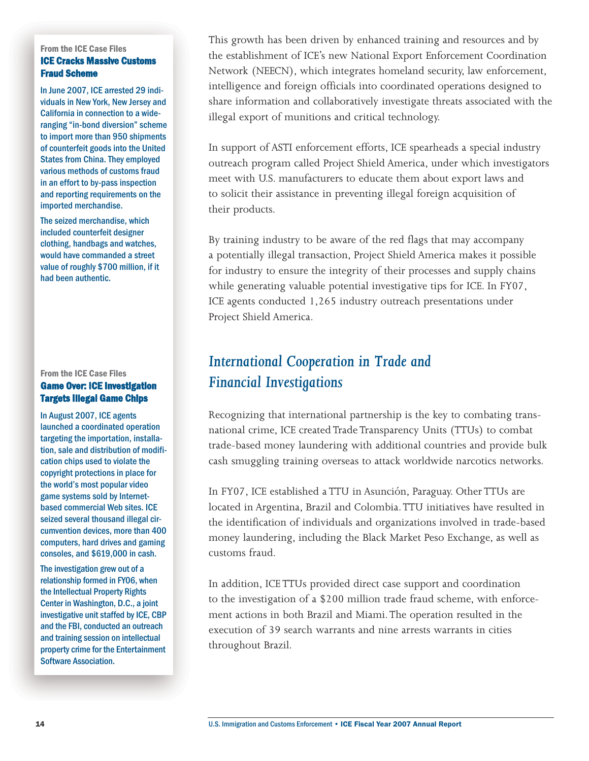#### From the ICE Case Files ICE Cracks Massive Customs Fraud Scheme

In June 2007, ICE arrested 29 individuals in New York, New Jersey and California in connection to a wideranging "in-bond diversion" scheme to import more than 950 shipments of counterfeit goods into the United States from China. They employed various methods of customs fraud in an effort to by-pass inspection and reporting requirements on the imported merchandise.

The seized merchandise, which included counterfeit designer clothing, handbags and watches, would have commanded a street value of roughly \$700 million, if it had been authentic.

#### From the ICE Case Files Game Over: ICE Investigation Targets Illegal Game Chips

In August 2007, ICE agents launched a coordinated operation targeting the importation, installation, sale and distribution of modification chips used to violate the copyright protections in place for the world's most popular video game systems sold by Internetbased commercial Web sites. ICE seized several thousand illegal circumvention devices, more than 400 computers, hard drives and gaming consoles, and \$619,000 in cash.

The investigation grew out of a relationship formed in FY06, when the Intellectual Property Rights Center in Washington, D.C., a joint investigative unit staffed by ICE, CBP and the FBI, conducted an outreach and training session on intellectual property crime for the Entertainment Software Association.

This growth has been driven by enhanced training and resources and by the establishment of ICE's new National Export Enforcement Coordination Network (NEECN), which integrates homeland security, law enforcement, intelligence and foreign officials into coordinated operations designed to share information and collaboratively investigate threats associated with the illegal export of munitions and critical technology.

In support of ASTI enforcement efforts, ICE spearheads a special industry outreach program called Project Shield America, under which investigators meet with U.S. manufacturers to educate them about export laws and to solicit their assistance in preventing illegal foreign acquisition of their products.

By training industry to be aware of the red flags that may accompany a potentially illegal transaction, Project Shield America makes it possible for industry to ensure the integrity of their processes and supply chains while generating valuable potential investigative tips for ICE. In FY07, ICE agents conducted 1,265 industry outreach presentations under Project Shield America.

## *International Cooperation in Trade and Financial Investigations*

Recognizing that international partnership is the key to combating transnational crime, ICE created Trade Transparency Units (TTUs) to combat trade-based money laundering with additional countries and provide bulk cash smuggling training overseas to attack worldwide narcotics networks.

In FY07, ICE established a TTU in Asunción, Paraguay. Other TTUs are located in Argentina, Brazil and Colombia. TTU initiatives have resulted in the identification of individuals and organizations involved in trade-based money laundering, including the Black Market Peso Exchange, as well as customs fraud.

In addition, ICE TTUs provided direct case support and coordination to the investigation of a \$200 million trade fraud scheme, with enforcement actions in both Brazil and Miami. The operation resulted in the execution of 39 search warrants and nine arrests warrants in cities throughout Brazil.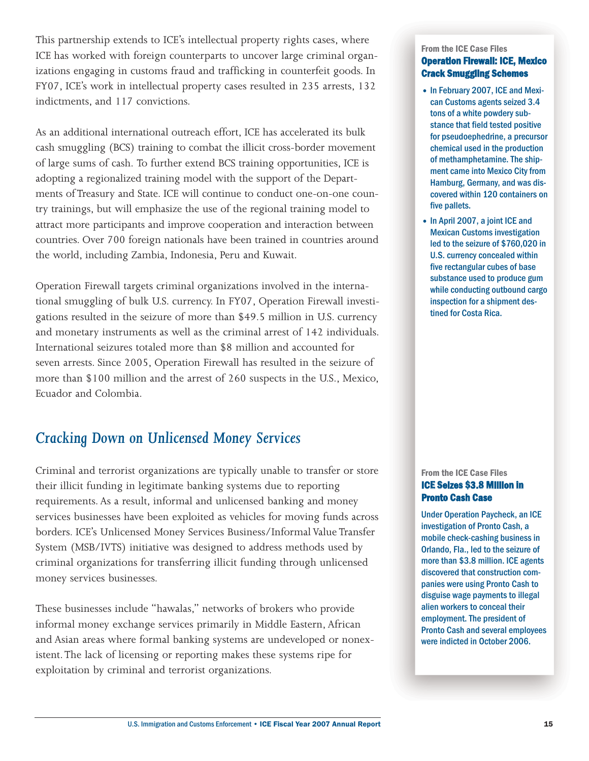This partnership extends to ICE's intellectual property rights cases, where ICE has worked with foreign counterparts to uncover large criminal organizations engaging in customs fraud and trafficking in counterfeit goods. In FY07, ICE's work in intellectual property cases resulted in 235 arrests, 132 indictments, and 117 convictions.

As an additional international outreach effort, ICE has accelerated its bulk cash smuggling (BCS) training to combat the illicit cross-border movement of large sums of cash. To further extend BCS training opportunities, ICE is adopting a regionalized training model with the support of the Departments of Treasury and State. ICE will continue to conduct one-on-one country trainings, but will emphasize the use of the regional training model to attract more participants and improve cooperation and interaction between countries. Over 700 foreign nationals have been trained in countries around the world, including Zambia, Indonesia, Peru and Kuwait.

Operation Firewall targets criminal organizations involved in the international smuggling of bulk U.S. currency. In FY07, Operation Firewall investigations resulted in the seizure of more than \$49.5 million in U.S. currency and monetary instruments as well as the criminal arrest of 142 individuals. International seizures totaled more than \$8 million and accounted for seven arrests. Since 2005, Operation Firewall has resulted in the seizure of more than \$100 million and the arrest of 260 suspects in the U.S., Mexico, Ecuador and Colombia.

### *Cracking Down on Unlicensed Money Services*

Criminal and terrorist organizations are typically unable to transfer or store their illicit funding in legitimate banking systems due to reporting requirements. As a result, informal and unlicensed banking and money services businesses have been exploited as vehicles for moving funds across borders. ICE's Unlicensed Money Services Business/Informal Value Transfer System (MSB/IVTS) initiative was designed to address methods used by criminal organizations for transferring illicit funding through unlicensed money services businesses.

These businesses include "hawalas," networks of brokers who provide informal money exchange services primarily in Middle Eastern, African and Asian areas where formal banking systems are undeveloped or nonexistent.The lack of licensing or reporting makes these systems ripe for exploitation by criminal and terrorist organizations.

#### From the ICE Case Files Operation Firewall: ICE, Mexico Crack Smuggling Schemes

- In February 2007, ICE and Mexican Customs agents seized 3.4 tons of a white powdery substance that field tested positive for pseudoephedrine, a precursor chemical used in the production of methamphetamine. The shipment came into Mexico City from Hamburg, Germany, and was discovered within 120 containers on five pallets.
- In April 2007, a joint ICE and Mexican Customs investigation led to the seizure of \$760,020 in U.S. currency concealed within five rectangular cubes of base substance used to produce gum while conducting outbound cargo inspection for a shipment destined for Costa Rica.

#### From the ICE Case Files ICE Seizes \$3.8 Million in Pronto Cash Case

Under Operation Paycheck, an ICE investigation of Pronto Cash, a mobile check-cashing business in Orlando, Fla., led to the seizure of more than \$3.8 million. ICE agents discovered that construction companies were using Pronto Cash to disguise wage payments to illegal alien workers to conceal their employment. The president of Pronto Cash and several employees were indicted in October 2006.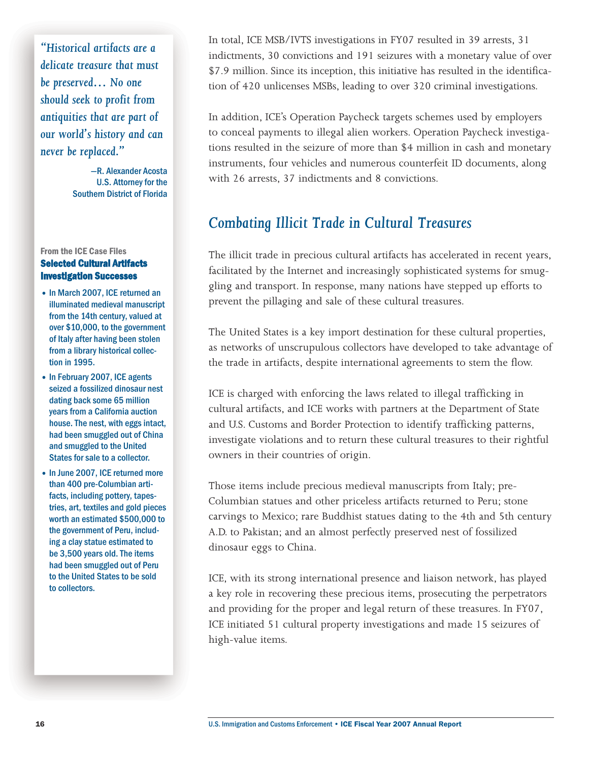*"Historical artifacts are a delicate treasure that must be preserved… No one should seek to profit from antiquities that are part of our world's history and can never be replaced."* 

> —R. Alexander Acosta U.S. Attorney for the Southern District of Florida

#### From the ICE Case Files Selected Cultural Artifacts Investigation Successes

- •In March 2007, ICE returned an illuminated medieval manuscript from the 14th century, valued at over \$10,000, to the government of Italy after having been stolen from a library historical collection in 1995.
- In February 2007, ICE agents seized a fossilized dinosaur nest dating back some 65 million years from a California auction house. The nest, with eggs intact, had been smuggled out of China and smuggled to the United States for sale to a collector.
- In June 2007, ICE returned more than 400 pre-Columbian artifacts, including pottery, tapestries, art, textiles and gold pieces worth an estimated \$500,000 to the government of Peru, including a clay statue estimated to be 3,500 years old. The items had been smuggled out of Peru to the United States to be sold to collectors.

In total, ICE MSB/IVTS investigations in FY07 resulted in 39 arrests, 31 indictments, 30 convictions and 191 seizures with a monetary value of over \$7.9 million. Since its inception, this initiative has resulted in the identification of 420 unlicenses MSBs, leading to over 320 criminal investigations.

In addition, ICE's Operation Paycheck targets schemes used by employers to conceal payments to illegal alien workers. Operation Paycheck investigations resulted in the seizure of more than \$4 million in cash and monetary instruments, four vehicles and numerous counterfeit ID documents, along with 26 arrests, 37 indictments and 8 convictions.

### *Combating Illicit Trade in Cultural Treasures*

The illicit trade in precious cultural artifacts has accelerated in recent years, facilitated by the Internet and increasingly sophisticated systems for smuggling and transport. In response, many nations have stepped up efforts to prevent the pillaging and sale of these cultural treasures.

The United States is a key import destination for these cultural properties, as networks of unscrupulous collectors have developed to take advantage of the trade in artifacts, despite international agreements to stem the flow.

ICE is charged with enforcing the laws related to illegal trafficking in cultural artifacts, and ICE works with partners at the Department of State and U.S. Customs and Border Protection to identify trafficking patterns, investigate violations and to return these cultural treasures to their rightful owners in their countries of origin.

Those items include precious medieval manuscripts from Italy; pre-Columbian statues and other priceless artifacts returned to Peru; stone carvings to Mexico; rare Buddhist statues dating to the 4th and 5th century A.D. to Pakistan; and an almost perfectly preserved nest of fossilized dinosaur eggs to China.

ICE, with its strong international presence and liaison network, has played a key role in recovering these precious items, prosecuting the perpetrators and providing for the proper and legal return of these treasures. In FY07, ICE initiated 51 cultural property investigations and made 15 seizures of high-value items.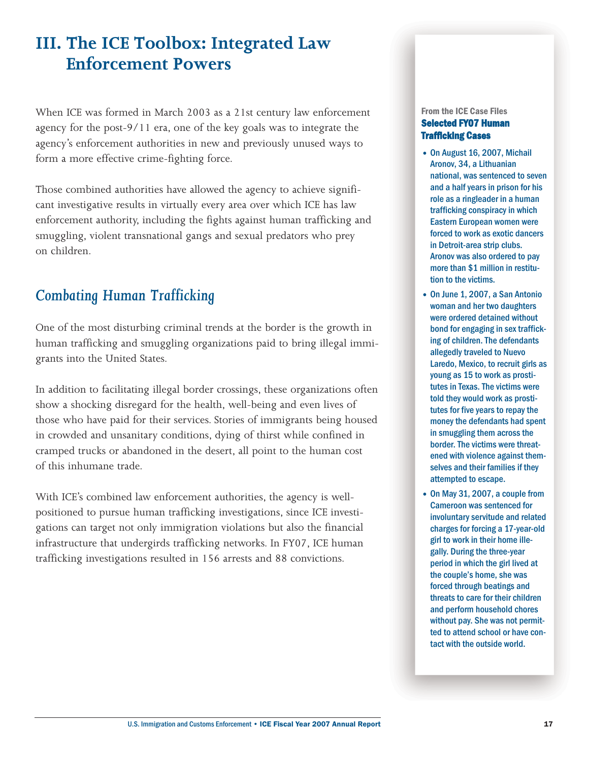# **III. The ICE Toolbox: Integrated Law Enforcement Powers**

When ICE was formed in March 2003 as a 21st century law enforcement agency for the post-9/11 era, one of the key goals was to integrate the agency's enforcement authorities in new and previously unused ways to form a more effective crime-fighting force.

Those combined authorities have allowed the agency to achieve significant investigative results in virtually every area over which ICE has law enforcement authority, including the fights against human trafficking and smuggling, violent transnational gangs and sexual predators who prey on children.

### *Combating Human Trafficking*

One of the most disturbing criminal trends at the border is the growth in human trafficking and smuggling organizations paid to bring illegal immigrants into the United States.

In addition to facilitating illegal border crossings, these organizations often show a shocking disregard for the health, well-being and even lives of those who have paid for their services. Stories of immigrants being housed in crowded and unsanitary conditions, dying of thirst while confined in cramped trucks or abandoned in the desert, all point to the human cost of this inhumane trade.

With ICE's combined law enforcement authorities, the agency is wellpositioned to pursue human trafficking investigations, since ICE investigations can target not only immigration violations but also the financial infrastructure that undergirds trafficking networks. In FY07, ICE human trafficking investigations resulted in 156 arrests and 88 convictions.

#### From the ICE Case Files Selected FY07 Human Trafficking Cases

- On August 16, 2007, Michail Aronov, 34, a Lithuanian national, was sentenced to seven and a half years in prison for his role as a ringleader in a human trafficking conspiracy in which Eastern European women were forced to work as exotic dancers in Detroit-area strip clubs. Aronov was also ordered to pay more than \$1 million in restitution to the victims.
- On June 1, 2007, a San Antonio woman and her two daughters were ordered detained without bond for engaging in sex trafficking of children. The defendants allegedly traveled to Nuevo Laredo, Mexico, to recruit girls as young as 15 to work as prostitutes in Texas. The victims were told they would work as prostitutes for five years to repay the money the defendants had spent in smuggling them across the border. The victims were threatened with violence against themselves and their families if they attempted to escape.
- On May 31, 2007, a couple from Cameroon was sentenced for involuntary servitude and related charges for forcing a 17-year-old girl to work in their home illegally. During the three-year period in which the girl lived at the couple's home, she was forced through beatings and threats to care for their children and perform household chores without pay. She was not permitted to attend school or have contact with the outside world.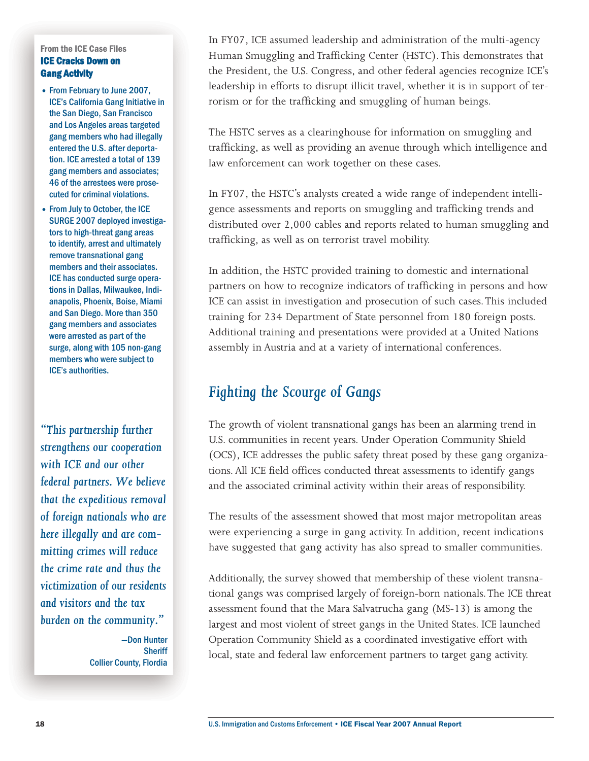#### From the ICE Case Files ICE Cracks Down on Gang Activity

- •From February to June 2007, ICE's California Gang Initiative in the San Diego, San Francisco and Los Angeles areas targeted gang members who had illegally entered the U.S. after deportation. ICE arrested a total of 139 gang members and associates; 46 of the arrestees were prosecuted for criminal violations.
- •From July to October, the ICE SURGE 2007 deployed investigators to high-threat gang areas to identify, arrest and ultimately remove transnational gang members and their associates. ICE has conducted surge operations in Dallas, Milwaukee, Indianapolis, Phoenix, Boise, Miami and San Diego. More than 350 gang members and associates were arrested as part of the surge, along with 105 non-gang members who were subject to ICE's authorities.

*"This partnership further strengthens our cooperation with ICE and our other federal partners. We believe that the expeditious removal of foreign nationals who are here illegally and are committing crimes will reduce the crime rate and thus the victimization of our residents and visitors and the tax burden on the community."* 

> —Don Hunter **Sheriff** Collier County, Flordia

In FY07, ICE assumed leadership and administration of the multi-agency Human Smuggling and Trafficking Center (HSTC). This demonstrates that the President, the U.S. Congress, and other federal agencies recognize ICE's leadership in efforts to disrupt illicit travel, whether it is in support of terrorism or for the trafficking and smuggling of human beings.

The HSTC serves as a clearinghouse for information on smuggling and trafficking, as well as providing an avenue through which intelligence and law enforcement can work together on these cases.

In FY07, the HSTC's analysts created a wide range of independent intelligence assessments and reports on smuggling and trafficking trends and distributed over 2,000 cables and reports related to human smuggling and trafficking, as well as on terrorist travel mobility.

In addition, the HSTC provided training to domestic and international partners on how to recognize indicators of trafficking in persons and how ICE can assist in investigation and prosecution of such cases. This included training for 234 Department of State personnel from 180 foreign posts. Additional training and presentations were provided at a United Nations assembly in Austria and at a variety of international conferences.

### *Fighting the Scourge of Gangs*

The growth of violent transnational gangs has been an alarming trend in U.S. communities in recent years. Under Operation Community Shield (OCS), ICE addresses the public safety threat posed by these gang organizations. All ICE field offices conducted threat assessments to identify gangs and the associated criminal activity within their areas of responsibility.

The results of the assessment showed that most major metropolitan areas were experiencing a surge in gang activity. In addition, recent indications have suggested that gang activity has also spread to smaller communities.

Additionally, the survey showed that membership of these violent transnational gangs was comprised largely of foreign-born nationals. The ICE threat assessment found that the Mara Salvatrucha gang (MS-13) is among the largest and most violent of street gangs in the United States. ICE launched Operation Community Shield as a coordinated investigative effort with local, state and federal law enforcement partners to target gang activity.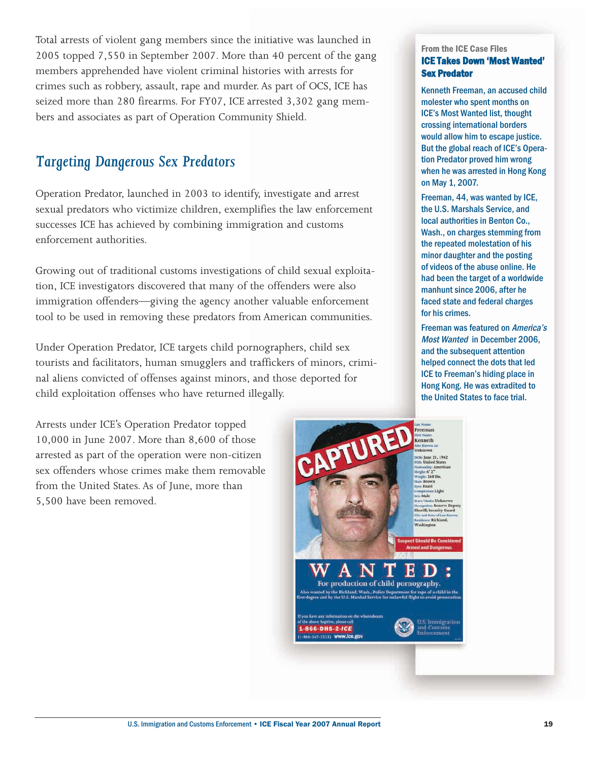Total arrests of violent gang members since the initiative was launched in 2005 topped 7,550 in September 2007. More than 40 percent of the gang members apprehended have violent criminal histories with arrests for crimes such as robbery, assault, rape and murder. As part of OCS, ICE has seized more than 280 firearms. For FY07, ICE arrested 3,302 gang members and associates as part of Operation Community Shield.

### *Targeting Dangerous Sex Predators*

Operation Predator, launched in 2003 to identify, investigate and arrest sexual predators who victimize children, exemplifies the law enforcement successes ICE has achieved by combining immigration and customs enforcement authorities.

Growing out of traditional customs investigations of child sexual exploitation, ICE investigators discovered that many of the offenders were also immigration offenders—giving the agency another valuable enforcement tool to be used in removing these predators from American communities.

Under Operation Predator, ICE targets child pornographers, child sex tourists and facilitators, human smugglers and traffickers of minors, criminal aliens convicted of offenses against minors, and those deported for child exploitation offenses who have returned illegally.

Arrests under ICE's Operation Predator topped 10,000 in June 2007. More than 8,600 of those arrested as part of the operation were non-citizen sex offenders whose crimes make them removable from the United States. As of June, more than 5,500 have been removed.

#### From the ICE Case Files ICE Takes Down 'Most Wanted' Sex Predator

Kenneth Freeman, an accused child molester who spent months on ICE's Most Wanted list, thought crossing international borders would allow him to escape justice. But the global reach of ICE's Operation Predator proved him wrong when he was arrested in Hong Kong on May 1, 2007.

Freeman, 44, was wanted by ICE, the U.S. Marshals Service, and local authorities in Benton Co., Wash., on charges stemming from the repeated molestation of his minor daughter and the posting of videos of the abuse online. He had been the target of a worldwide manhunt since 2006, after he faced state and federal charges for his crimes.

Freeman was featured on America's Most Wanted in December 2006, and the subsequent attention helped connect the dots that led ICE to Freeman's hiding place in Hong Kong. He was extradited to the United States to face trial.

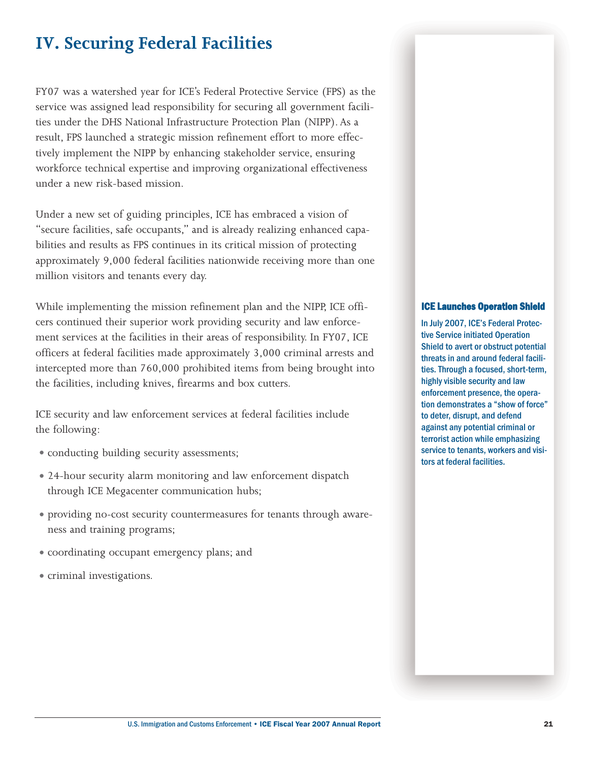# **IV. Securing Federal Facilities**

FY07 was a watershed year for ICE's Federal Protective Service (FPS) as the service was assigned lead responsibility for securing all government facilities under the DHS National Infrastructure Protection Plan (NIPP). As a result, FPS launched a strategic mission refinement effort to more effectively implement the NIPP by enhancing stakeholder service, ensuring workforce technical expertise and improving organizational effectiveness under a new risk-based mission.

Under a new set of guiding principles, ICE has embraced a vision of "secure facilities, safe occupants," and is already realizing enhanced capabilities and results as FPS continues in its critical mission of protecting approximately 9,000 federal facilities nationwide receiving more than one million visitors and tenants every day.

While implementing the mission refinement plan and the NIPP, ICE officers continued their superior work providing security and law enforcement services at the facilities in their areas of responsibility. In FY07, ICE officers at federal facilities made approximately 3,000 criminal arrests and intercepted more than 760,000 prohibited items from being brought into the facilities, including knives, firearms and box cutters.

ICE security and law enforcement services at federal facilities include the following:

- conducting building security assessments;
- 24-hour security alarm monitoring and law enforcement dispatch through ICE Megacenter communication hubs;
- providing no-cost security countermeasures for tenants through awareness and training programs;
- coordinating occupant emergency plans; and
- criminal investigations.

#### ICE Launches Operation Shield

In July 2007, ICE's Federal Protective Service initiated Operation Shield to avert or obstruct potential threats in and around federal facilities. Through a focused, short-term, highly visible security and law enforcement presence, the operation demonstrates a "show of force" to deter, disrupt, and defend against any potential criminal or terrorist action while emphasizing service to tenants, workers and visitors at federal facilities.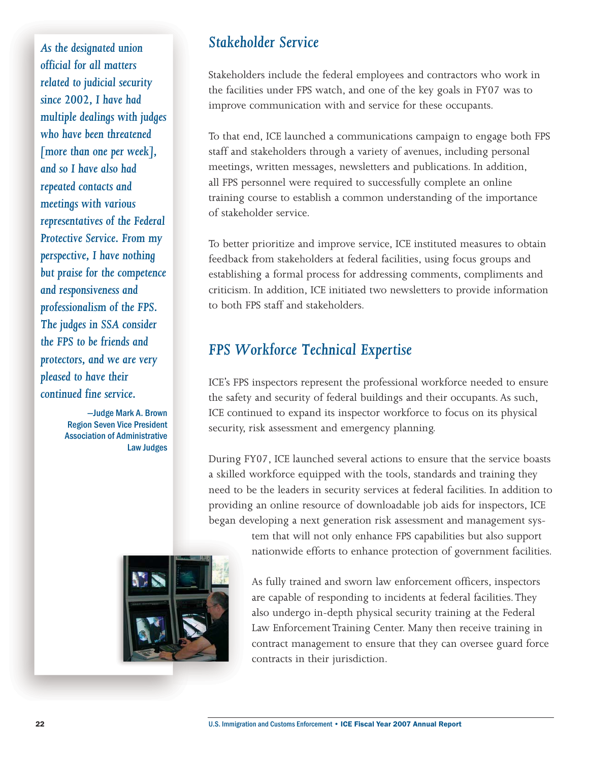*As the designated union official for all matters related to judicial security since 2002, I have had multiple dealings with judges who have been threatened [more than one per week], and so I have also had repeated contacts and meetings with various representatives of the Federal Protective Service. From my perspective, I have nothing but praise for the competence and responsiveness and professionalism of the FPS. The judges in SSA consider the FPS to be friends and protectors, and we are very pleased to have their continued fine service.* 

> —Judge Mark A. Brown Region Seven Vice President Association of Administrative Law Judges



Stakeholders include the federal employees and contractors who work in the facilities under FPS watch, and one of the key goals in FY07 was to improve communication with and service for these occupants.

To that end, ICE launched a communications campaign to engage both FPS staff and stakeholders through a variety of avenues, including personal meetings, written messages, newsletters and publications. In addition, all FPS personnel were required to successfully complete an online training course to establish a common understanding of the importance of stakeholder service.

To better prioritize and improve service, ICE instituted measures to obtain feedback from stakeholders at federal facilities, using focus groups and establishing a formal process for addressing comments, compliments and criticism. In addition, ICE initiated two newsletters to provide information to both FPS staff and stakeholders.

### *FPS Workforce Technical Expertise*

ICE's FPS inspectors represent the professional workforce needed to ensure the safety and security of federal buildings and their occupants. As such, ICE continued to expand its inspector workforce to focus on its physical security, risk assessment and emergency planning.

During FY07, ICE launched several actions to ensure that the service boasts a skilled workforce equipped with the tools, standards and training they need to be the leaders in security services at federal facilities. In addition to providing an online resource of downloadable job aids for inspectors, ICE began developing a next generation risk assessment and management sys-

> tem that will not only enhance FPS capabilities but also support nationwide efforts to enhance protection of government facilities.

> As fully trained and sworn law enforcement officers, inspectors are capable of responding to incidents at federal facilities. They also undergo in-depth physical security training at the Federal Law Enforcement Training Center. Many then receive training in contract management to ensure that they can oversee guard force contracts in their jurisdiction.

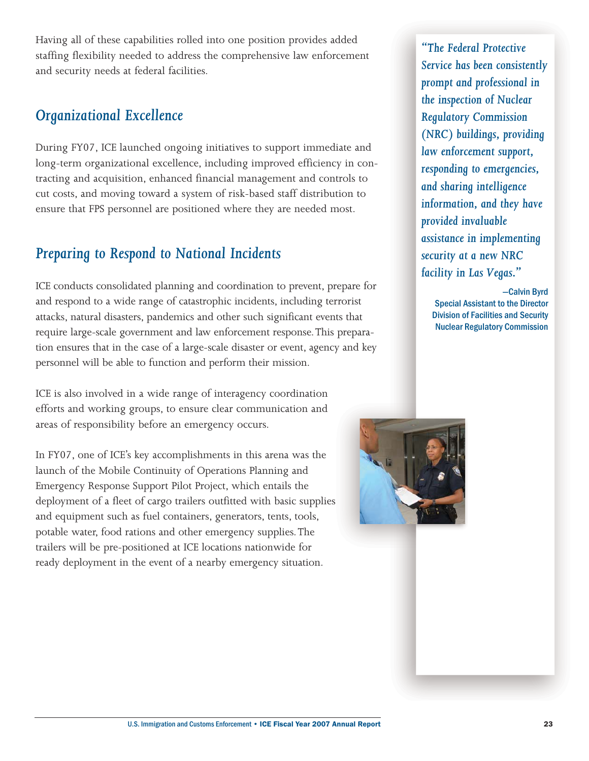Having all of these capabilities rolled into one position provides added staffing flexibility needed to address the comprehensive law enforcement and security needs at federal facilities.

### *Organizational Excellence*

During FY07, ICE launched ongoing initiatives to support immediate and long-term organizational excellence, including improved efficiency in contracting and acquisition, enhanced financial management and controls to cut costs, and moving toward a system of risk-based staff distribution to ensure that FPS personnel are positioned where they are needed most.

### *Preparing to Respond to National Incidents*

ICE conducts consolidated planning and coordination to prevent, prepare for and respond to a wide range of catastrophic incidents, including terrorist attacks, natural disasters, pandemics and other such significant events that require large-scale government and law enforcement response.This preparation ensures that in the case of a large-scale disaster or event, agency and key personnel will be able to function and perform their mission.

ICE is also involved in a wide range of interagency coordination efforts and working groups, to ensure clear communication and areas of responsibility before an emergency occurs.

In FY07, one of ICE's key accomplishments in this arena was the launch of the Mobile Continuity of Operations Planning and Emergency Response Support Pilot Project, which entails the deployment of a fleet of cargo trailers outfitted with basic supplies and equipment such as fuel containers, generators, tents, tools, potable water, food rations and other emergency supplies.The trailers will be pre-positioned at ICE locations nationwide for ready deployment in the event of a nearby emergency situation.

*"The Federal Protective Service has been consistently prompt and professional in the inspection of Nuclear Regulatory Commission (NRC) buildings, providing law enforcement support, responding to emergencies, and sharing intelligence information, and they have provided invaluable assistance in implementing security at a new NRC facility in Las Vegas."* 

—Calvin Byrd Special Assistant to the Director Division of Facilities and Security Nuclear Regulatory Commission

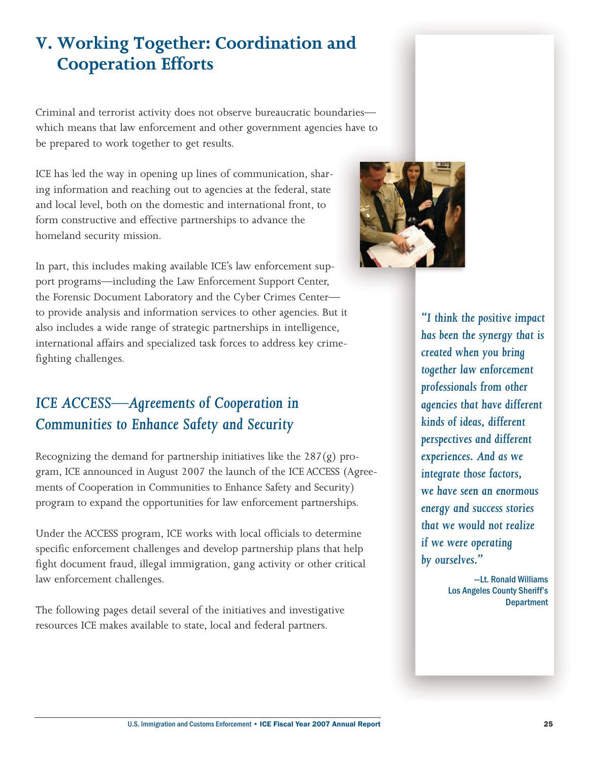# **V. Working Together: Coordination and Cooperation Efforts**

Criminal and terrorist activity does not observe bureaucratic boundaries which means that law enforcement and other government agencies have to be prepared to work together to get results.

ICE has led the way in opening up lines of communication, sharing information and reaching out to agencies at the federal, state and local level, both on the domestic and international front, to form constructive and effective partnerships to advance the homeland security mission.



In part, this includes making available ICE's law enforcement support programs—including the Law Enforcement Support Center, the Forensic Document Laboratory and the Cyber Crimes Center to provide analysis and information services to other agencies. But it also includes a wide range of strategic partnerships in intelligence, international affairs and specialized task forces to address key crimefighting challenges.

# *ICE ACCESS—Agreements of Cooperation in Communities to Enhance Safety and Security*

Recognizing the demand for partnership initiatives like the  $287(g)$  program, ICE announced in August 2007 the launch of the ICE ACCESS (Agreements of Cooperation in Communities to Enhance Safety and Security) program to expand the opportunities for law enforcement partnerships.

Under the ACCESS program, ICE works with local officials to determine specific enforcement challenges and develop partnership plans that help fight document fraud, illegal immigration, gang activity or other critical law enforcement challenges.

The following pages detail several of the initiatives and investigative resources ICE makes available to state, local and federal partners.

*"I think the positive impact has been the synergy that is created when you bring together law enforcement professionals from other agencies that have different kinds of ideas, different perspectives and different experiences. And as we integrate those factors, we have seen an enormous energy and success stories that we would not realize if we were operating by ourselves."* 

> —Lt. Ronald Williams Los Angeles County Sheriff's **Department**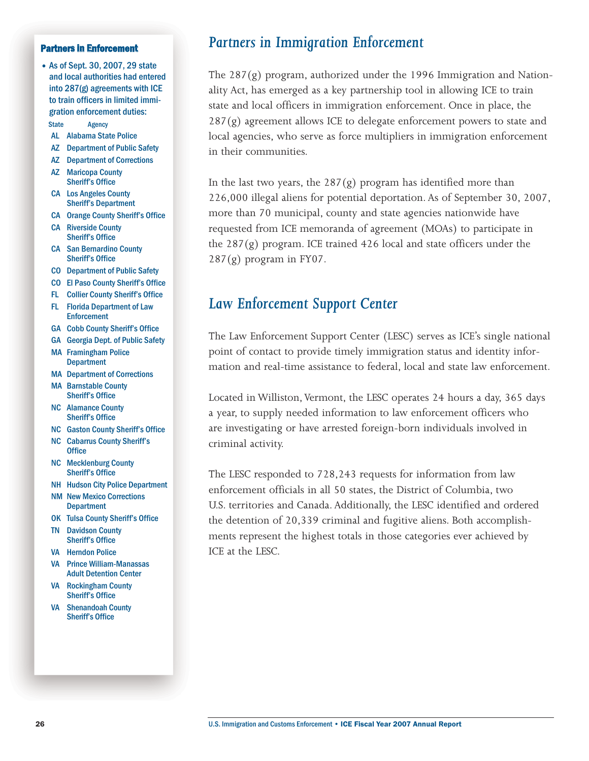#### Partners in Enforcement

•As of Sept. 30, 2007, 29 state and local authorities had entered into 287(g) agreements with ICE to train officers in limited immigration enforcement duties:

#### State Agency

- AL Alabama State Police
- AZ Department of Public Safety
- AZ Department of Corrections
- AZ Maricopa County Sheriff's Office
- CA Los Angeles County Sheriff's Department
- CA Orange County Sheriff's Office
- CA Riverside County Sheriff's Office
- CA San Bernardino County Sheriff's Office
- CO Department of Public Safety
- CO El Paso County Sheriff's Office
- FL Collier County Sheriff's Office
- FL Florida Department of Law **Enforcement**
- GA Cobb County Sheriff's Office
- GA Georgia Dept. of Public Safety
- MA Framingham Police Department
- MA Department of Corrections
- MA Barnstable County Sheriff's Office
- NC Alamance County Sheriff's Office
- NC Gaston County Sheriff's Office
- NC Cabarrus County Sheriff's **Office**
- NC Mecklenburg County Sheriff's Office
- NH Hudson City Police Department
- NM New Mexico Corrections **Department**
- OK Tulsa County Sheriff's Office
- TN Davidson County Sheriff's Office
- VA Herndon Police
- VA Prince William-Manassas Adult Detention Center
- VA Rockingham County Sheriff's Office
- VA Shenandoah County Sheriff's Office

### *Partners in Immigration Enforcement*

The  $287(g)$  program, authorized under the 1996 Immigration and Nationality Act, has emerged as a key partnership tool in allowing ICE to train state and local officers in immigration enforcement. Once in place, the  $287(g)$  agreement allows ICE to delegate enforcement powers to state and local agencies, who serve as force multipliers in immigration enforcement in their communities.

In the last two years, the  $287(g)$  program has identified more than 226,000 illegal aliens for potential deportation. As of September 30, 2007, more than 70 municipal, county and state agencies nationwide have requested from ICE memoranda of agreement (MOAs) to participate in the  $287(g)$  program. ICE trained 426 local and state officers under the  $287(g)$  program in FY07.

### *Law Enforcement Support Center*

The Law Enforcement Support Center (LESC) serves as ICE's single national point of contact to provide timely immigration status and identity information and real-time assistance to federal, local and state law enforcement.

Located in Williston, Vermont, the LESC operates 24 hours a day, 365 days a year, to supply needed information to law enforcement officers who are investigating or have arrested foreign-born individuals involved in criminal activity.

The LESC responded to 728,243 requests for information from law enforcement officials in all 50 states, the District of Columbia, two U.S. territories and Canada. Additionally, the LESC identified and ordered the detention of 20,339 criminal and fugitive aliens. Both accomplishments represent the highest totals in those categories ever achieved by ICE at the LESC.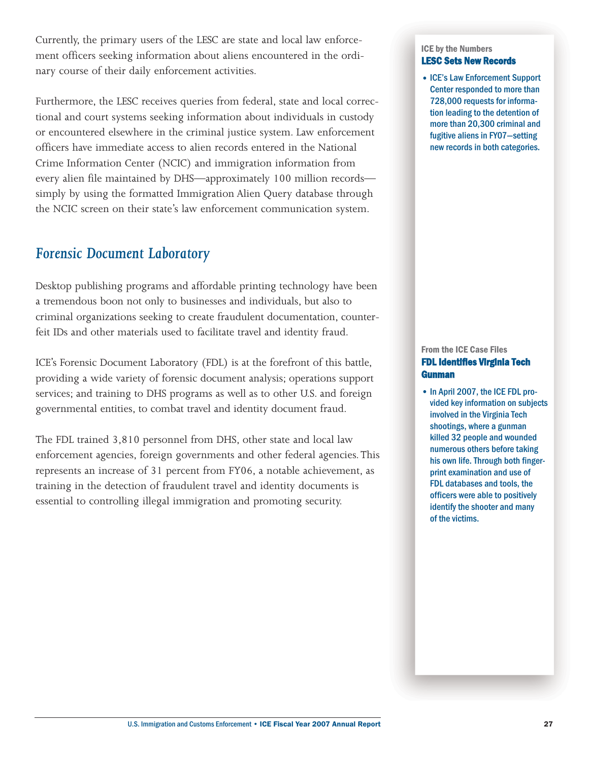Currently, the primary users of the LESC are state and local law enforcement officers seeking information about aliens encountered in the ordinary course of their daily enforcement activities.

Furthermore, the LESC receives queries from federal, state and local correctional and court systems seeking information about individuals in custody or encountered elsewhere in the criminal justice system. Law enforcement officers have immediate access to alien records entered in the National Crime Information Center (NCIC) and immigration information from every alien file maintained by DHS—approximately 100 million records simply by using the formatted Immigration Alien Query database through the NCIC screen on their state's law enforcement communication system.

### *Forensic Document Laboratory*

Desktop publishing programs and affordable printing technology have been a tremendous boon not only to businesses and individuals, but also to criminal organizations seeking to create fraudulent documentation, counterfeit IDs and other materials used to facilitate travel and identity fraud.

ICE's Forensic Document Laboratory (FDL) is at the forefront of this battle, providing a wide variety of forensic document analysis; operations support services; and training to DHS programs as well as to other U.S. and foreign governmental entities, to combat travel and identity document fraud.

The FDL trained 3,810 personnel from DHS, other state and local law enforcement agencies, foreign governments and other federal agencies. This represents an increase of 31 percent from FY06, a notable achievement, as training in the detection of fraudulent travel and identity documents is essential to controlling illegal immigration and promoting security.

#### ICE by the Numbers LESC Sets New Records

•ICE's Law Enforcement Support Center responded to more than 728,000 requests for information leading to the detention of more than 20,300 criminal and fugitive aliens in FY07—setting new records in both categories.

#### From the ICE Case Files FDL Identifies Virginia Tech **Gunman**

• In April 2007, the ICE FDL provided key information on subjects involved in the Virginia Tech shootings, where a gunman killed 32 people and wounded numerous others before taking his own life. Through both fingerprint examination and use of FDL databases and tools, the officers were able to positively identify the shooter and many of the victims.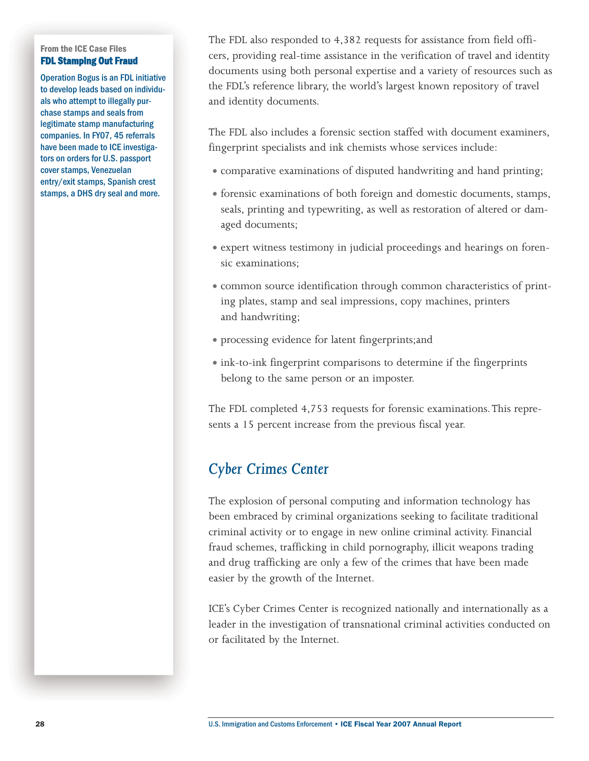#### From the ICE Case Files FDL Stamping Out Fraud

Operation Bogus is an FDL initiative to develop leads based on individuals who attempt to illegally purchase stamps and seals from legitimate stamp manufacturing companies. In FY07, 45 referrals have been made to ICE investigators on orders for U.S. passport cover stamps, Venezuelan entry/exit stamps, Spanish crest stamps, a DHS dry seal and more.

The FDL also responded to 4,382 requests for assistance from field officers, providing real-time assistance in the verification of travel and identity documents using both personal expertise and a variety of resources such as the FDL's reference library, the world's largest known repository of travel and identity documents.

The FDL also includes a forensic section staffed with document examiners, fingerprint specialists and ink chemists whose services include:

- comparative examinations of disputed handwriting and hand printing;
- forensic examinations of both foreign and domestic documents, stamps, seals, printing and typewriting, as well as restoration of altered or damaged documents;
- expert witness testimony in judicial proceedings and hearings on forensic examinations;
- common source identification through common characteristics of printing plates, stamp and seal impressions, copy machines, printers and handwriting;
- processing evidence for latent fingerprints;and
- ink-to-ink fingerprint comparisons to determine if the fingerprints belong to the same person or an imposter.

The FDL completed 4,753 requests for forensic examinations. This represents a 15 percent increase from the previous fiscal year.

### *Cyber Crimes Center*

The explosion of personal computing and information technology has been embraced by criminal organizations seeking to facilitate traditional criminal activity or to engage in new online criminal activity. Financial fraud schemes, trafficking in child pornography, illicit weapons trading and drug trafficking are only a few of the crimes that have been made easier by the growth of the Internet.

ICE's Cyber Crimes Center is recognized nationally and internationally as a leader in the investigation of transnational criminal activities conducted on or facilitated by the Internet.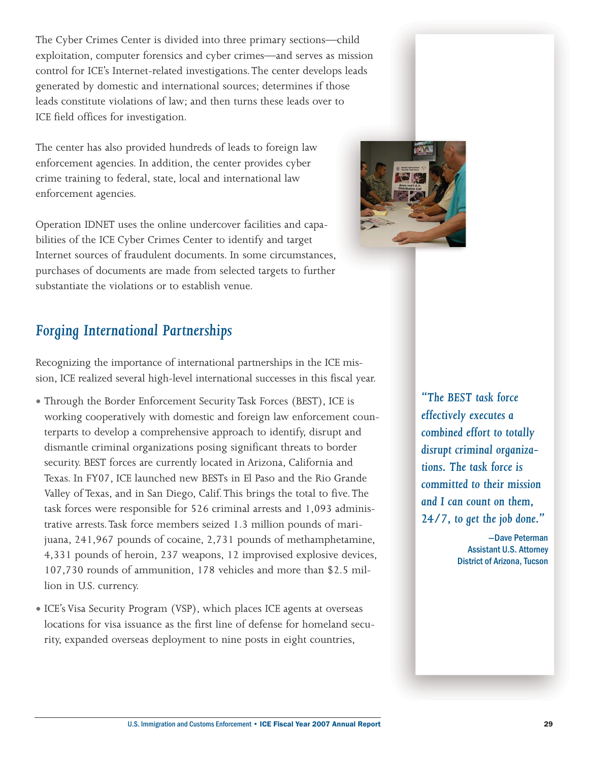The Cyber Crimes Center is divided into three primary sections—child exploitation, computer forensics and cyber crimes—and serves as mission control for ICE's Internet-related investigations. The center develops leads generated by domestic and international sources; determines if those leads constitute violations of law; and then turns these leads over to ICE field offices for investigation.

The center has also provided hundreds of leads to foreign law enforcement agencies. In addition, the center provides cyber crime training to federal, state, local and international law enforcement agencies.

Operation IDNET uses the online undercover facilities and capabilities of the ICE Cyber Crimes Center to identify and target Internet sources of fraudulent documents. In some circumstances, purchases of documents are made from selected targets to further substantiate the violations or to establish venue.



### *Forging International Partnerships*

Recognizing the importance of international partnerships in the ICE mission, ICE realized several high-level international successes in this fiscal year.

- Through the Border Enforcement Security Task Forces (BEST), ICE is working cooperatively with domestic and foreign law enforcement counterparts to develop a comprehensive approach to identify, disrupt and dismantle criminal organizations posing significant threats to border security. BEST forces are currently located in Arizona, California and Texas. In FY07, ICE launched new BESTs in El Paso and the Rio Grande Valley of Texas, and in San Diego, Calif.This brings the total to five.The task forces were responsible for 526 criminal arrests and 1,093 administrative arrests.Task force members seized 1.3 million pounds of marijuana, 241,967 pounds of cocaine, 2,731 pounds of methamphetamine, 4,331 pounds of heroin, 237 weapons, 12 improvised explosive devices, 107,730 rounds of ammunition, 178 vehicles and more than \$2.5 million in U.S. currency.
- ICE's Visa Security Program (VSP), which places ICE agents at overseas locations for visa issuance as the first line of defense for homeland security, expanded overseas deployment to nine posts in eight countries,

*"The BEST task force effectively executes a combined effort to totally disrupt criminal organizations. The task force is committed to their mission and I can count on them, 24/7, to get the job done."* 

> —Dave Peterman Assistant U.S. Attorney District of Arizona, Tucson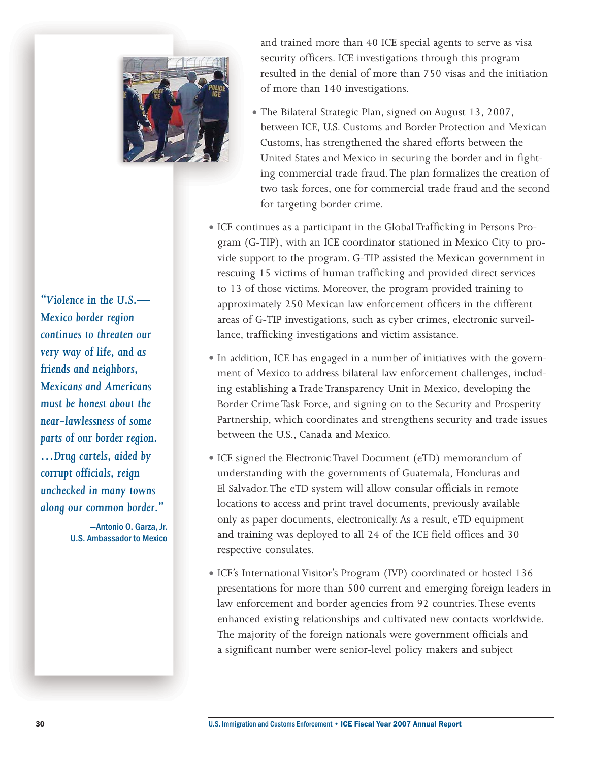

*"Violence in the U.S.— Mexico border region continues to threaten our very way of life, and as friends and neighbors, Mexicans and Americans must be honest about the near-lawlessness of some parts of our border region. …Drug cartels, aided by corrupt officials, reign unchecked in many towns along our common border."* 

> —Antonio O. Garza, Jr. U.S. Ambassador to Mexico

and trained more than 40 ICE special agents to serve as visa security officers. ICE investigations through this program resulted in the denial of more than 750 visas and the initiation of more than 140 investigations.

- The Bilateral Strategic Plan, signed on August 13, 2007, between ICE, U.S. Customs and Border Protection and Mexican Customs, has strengthened the shared efforts between the United States and Mexico in securing the border and in fighting commercial trade fraud.The plan formalizes the creation of two task forces, one for commercial trade fraud and the second for targeting border crime.
- ICE continues as a participant in the Global Trafficking in Persons Program (G-TIP), with an ICE coordinator stationed in Mexico City to provide support to the program. G-TIP assisted the Mexican government in rescuing 15 victims of human trafficking and provided direct services to 13 of those victims. Moreover, the program provided training to approximately 250 Mexican law enforcement officers in the different areas of G-TIP investigations, such as cyber crimes, electronic surveillance, trafficking investigations and victim assistance.
- In addition, ICE has engaged in a number of initiatives with the government of Mexico to address bilateral law enforcement challenges, including establishing a Trade Transparency Unit in Mexico, developing the Border Crime Task Force, and signing on to the Security and Prosperity Partnership, which coordinates and strengthens security and trade issues between the U.S., Canada and Mexico.
- ICE signed the Electronic Travel Document (eTD) memorandum of understanding with the governments of Guatemala, Honduras and El Salvador. The eTD system will allow consular officials in remote locations to access and print travel documents, previously available only as paper documents, electronically. As a result, eTD equipment and training was deployed to all 24 of the ICE field offices and 30 respective consulates.
- ICE's International Visitor's Program (IVP) coordinated or hosted 136 presentations for more than 500 current and emerging foreign leaders in law enforcement and border agencies from 92 countries.These events enhanced existing relationships and cultivated new contacts worldwide. The majority of the foreign nationals were government officials and a significant number were senior-level policy makers and subject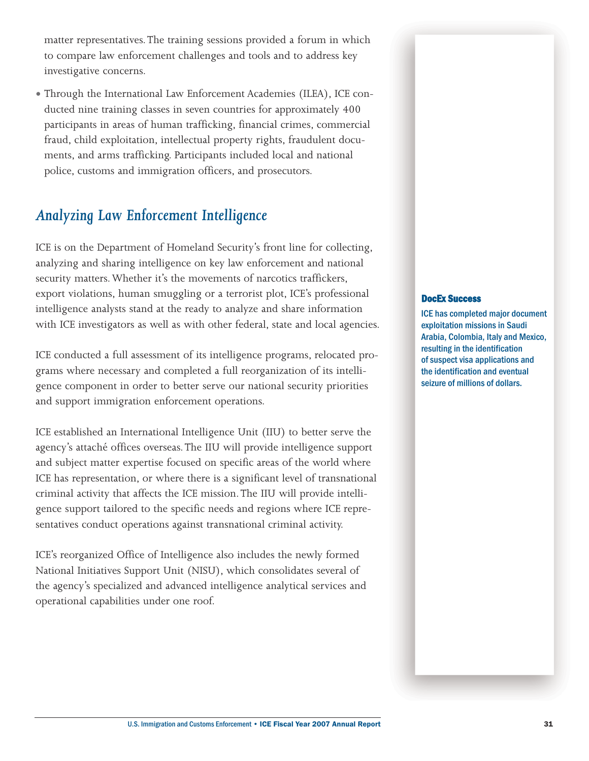matter representatives. The training sessions provided a forum in which to compare law enforcement challenges and tools and to address key investigative concerns.

• Through the International Law Enforcement Academies (ILEA), ICE conducted nine training classes in seven countries for approximately 400 participants in areas of human trafficking, financial crimes, commercial fraud, child exploitation, intellectual property rights, fraudulent documents, and arms trafficking. Participants included local and national police, customs and immigration officers, and prosecutors.

### *Analyzing Law Enforcement Intelligence*

ICE is on the Department of Homeland Security's front line for collecting, analyzing and sharing intelligence on key law enforcement and national security matters. Whether it's the movements of narcotics traffickers, export violations, human smuggling or a terrorist plot, ICE's professional intelligence analysts stand at the ready to analyze and share information with ICE investigators as well as with other federal, state and local agencies.

ICE conducted a full assessment of its intelligence programs, relocated programs where necessary and completed a full reorganization of its intelligence component in order to better serve our national security priorities and support immigration enforcement operations.

ICE established an International Intelligence Unit (IIU) to better serve the agency's attaché offices overseas.The IIU will provide intelligence support and subject matter expertise focused on specific areas of the world where ICE has representation, or where there is a significant level of transnational criminal activity that affects the ICE mission. The IIU will provide intelligence support tailored to the specific needs and regions where ICE representatives conduct operations against transnational criminal activity.

ICE's reorganized Office of Intelligence also includes the newly formed National Initiatives Support Unit (NISU), which consolidates several of the agency's specialized and advanced intelligence analytical services and operational capabilities under one roof.

#### DocEx Success

ICE has completed major document exploitation missions in Saudi Arabia, Colombia, Italy and Mexico, resulting in the identification of suspect visa applications and the identification and eventual seizure of millions of dollars.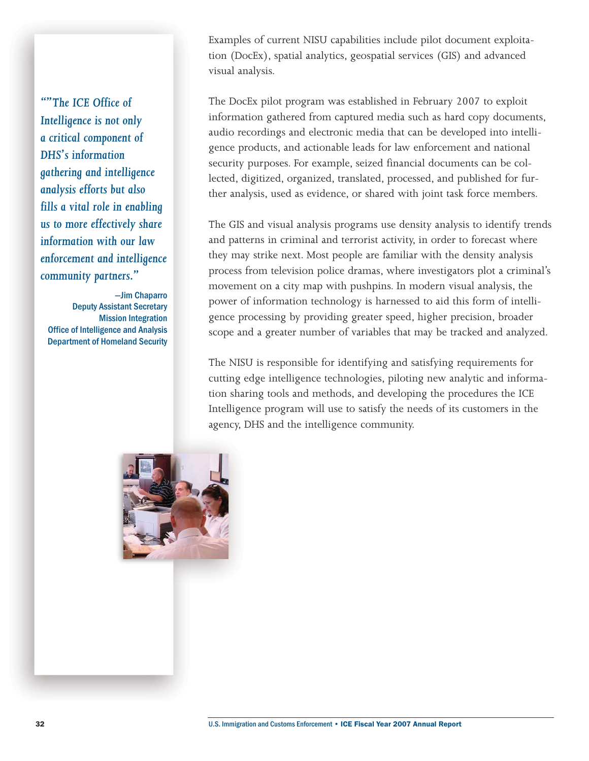*""The ICE Office of Intelligence is not only a critical component of DHS's information gathering and intelligence analysis efforts but also fills a vital role in enabling us to more effectively share information with our law enforcement and intelligence community partners."* 

—Jim Chaparro Deputy Assistant Secretary Mission Integration Office of Intelligence and Analysis Department of Homeland Security

Examples of current NISU capabilities include pilot document exploitation (DocEx), spatial analytics, geospatial services (GIS) and advanced visual analysis.

The DocEx pilot program was established in February 2007 to exploit information gathered from captured media such as hard copy documents, audio recordings and electronic media that can be developed into intelligence products, and actionable leads for law enforcement and national security purposes. For example, seized financial documents can be collected, digitized, organized, translated, processed, and published for further analysis, used as evidence, or shared with joint task force members.

The GIS and visual analysis programs use density analysis to identify trends and patterns in criminal and terrorist activity, in order to forecast where they may strike next. Most people are familiar with the density analysis process from television police dramas, where investigators plot a criminal's movement on a city map with pushpins. In modern visual analysis, the power of information technology is harnessed to aid this form of intelligence processing by providing greater speed, higher precision, broader scope and a greater number of variables that may be tracked and analyzed.

The NISU is responsible for identifying and satisfying requirements for cutting edge intelligence technologies, piloting new analytic and information sharing tools and methods, and developing the procedures the ICE Intelligence program will use to satisfy the needs of its customers in the agency, DHS and the intelligence community.

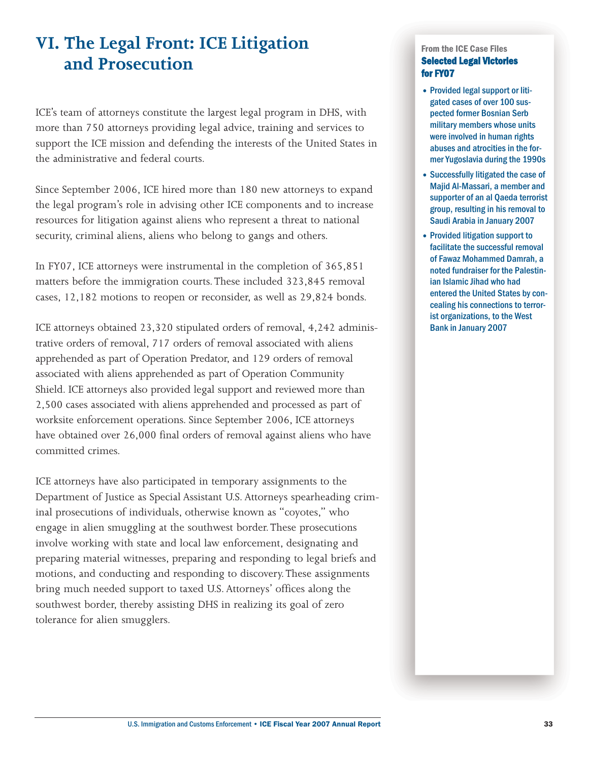# **VI. The Legal Front: ICE Litigation and Prosecution**

ICE's team of attorneys constitute the largest legal program in DHS, with more than 750 attorneys providing legal advice, training and services to support the ICE mission and defending the interests of the United States in the administrative and federal courts.

Since September 2006, ICE hired more than 180 new attorneys to expand the legal program's role in advising other ICE components and to increase resources for litigation against aliens who represent a threat to national security, criminal aliens, aliens who belong to gangs and others.

In FY07, ICE attorneys were instrumental in the completion of 365,851 matters before the immigration courts. These included 323,845 removal cases, 12,182 motions to reopen or reconsider, as well as 29,824 bonds.

ICE attorneys obtained 23,320 stipulated orders of removal, 4,242 administrative orders of removal, 717 orders of removal associated with aliens apprehended as part of Operation Predator, and 129 orders of removal associated with aliens apprehended as part of Operation Community Shield. ICE attorneys also provided legal support and reviewed more than 2,500 cases associated with aliens apprehended and processed as part of worksite enforcement operations. Since September 2006, ICE attorneys have obtained over 26,000 final orders of removal against aliens who have committed crimes.

ICE attorneys have also participated in temporary assignments to the Department of Justice as Special Assistant U.S. Attorneys spearheading criminal prosecutions of individuals, otherwise known as "coyotes," who engage in alien smuggling at the southwest border. These prosecutions involve working with state and local law enforcement, designating and preparing material witnesses, preparing and responding to legal briefs and motions, and conducting and responding to discovery.These assignments bring much needed support to taxed U.S. Attorneys' offices along the southwest border, thereby assisting DHS in realizing its goal of zero tolerance for alien smugglers.

#### From the ICE Case Files Selected Legal Victories for FY07

- •Provided legal support or litigated cases of over 100 suspected former Bosnian Serb military members whose units were involved in human rights abuses and atrocities in the former Yugoslavia during the 1990s
- •Successfully litigated the case of Majid Al-Massari, a member and supporter of an al Qaeda terrorist group, resulting in his removal to Saudi Arabia in January 2007
- Provided litigation support to facilitate the successful removal of Fawaz Mohammed Damrah, a noted fundraiser for the Palestinian Islamic Jihad who had entered the United States by concealing his connections to terrorist organizations, to the West Bank in January 2007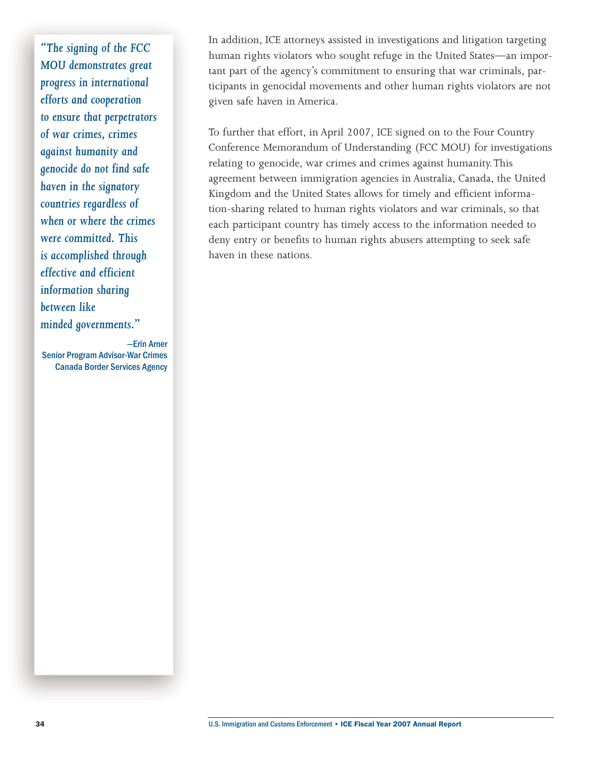*"The signing of the FCC MOU demonstrates great progress in international efforts and cooperation to ensure that perpetrators of war crimes, crimes against humanity and genocide do not find safe haven in the signatory countries regardless of when or where the crimes were committed. This is accomplished through effective and efficient information sharing between like minded governments."* 

—Erin Arner Senior Program Advisor-War Crimes Canada Border Services Agency In addition, ICE attorneys assisted in investigations and litigation targeting human rights violators who sought refuge in the United States—an important part of the agency's commitment to ensuring that war criminals, participants in genocidal movements and other human rights violators are not given safe haven in America.

To further that effort, in April 2007, ICE signed on to the Four Country Conference Memorandum of Understanding (FCC MOU) for investigations relating to genocide, war crimes and crimes against humanity.This agreement between immigration agencies in Australia, Canada, the United Kingdom and the United States allows for timely and efficient information-sharing related to human rights violators and war criminals, so that each participant country has timely access to the information needed to deny entry or benefits to human rights abusers attempting to seek safe haven in these nations.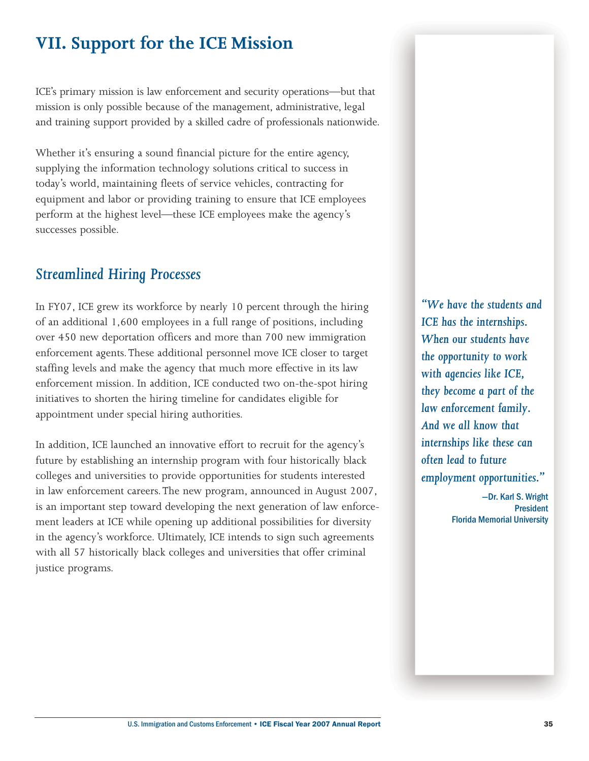# **VII. Support for the ICE Mission**

ICE's primary mission is law enforcement and security operations—but that mission is only possible because of the management, administrative, legal and training support provided by a skilled cadre of professionals nationwide.

Whether it's ensuring a sound financial picture for the entire agency, supplying the information technology solutions critical to success in today's world, maintaining fleets of service vehicles, contracting for equipment and labor or providing training to ensure that ICE employees perform at the highest level—these ICE employees make the agency's successes possible.

### *Streamlined Hiring Processes*

In FY07, ICE grew its workforce by nearly 10 percent through the hiring of an additional 1,600 employees in a full range of positions, including over 450 new deportation officers and more than 700 new immigration enforcement agents.These additional personnel move ICE closer to target staffing levels and make the agency that much more effective in its law enforcement mission. In addition, ICE conducted two on-the-spot hiring initiatives to shorten the hiring timeline for candidates eligible for appointment under special hiring authorities.

In addition, ICE launched an innovative effort to recruit for the agency's future by establishing an internship program with four historically black colleges and universities to provide opportunities for students interested in law enforcement careers. The new program, announced in August 2007, is an important step toward developing the next generation of law enforcement leaders at ICE while opening up additional possibilities for diversity in the agency's workforce. Ultimately, ICE intends to sign such agreements with all 57 historically black colleges and universities that offer criminal justice programs.

*"We have the students and ICE has the internships. When our students have the opportunity to work with agencies like ICE, they become a part of the law enforcement family. And we all know that internships like these can often lead to future employment opportunities."* 

> —Dr. Karl S. Wright President Florida Memorial University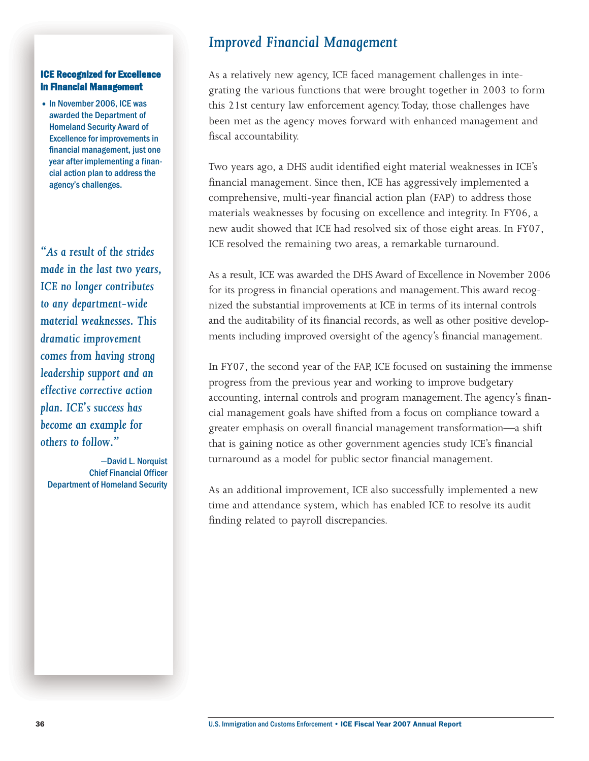#### ICE Recognized for Excellence in Financial Management

• In November 2006, ICE was awarded the Department of Homeland Security Award of Excellence for improvements in financial management, just one year after implementing a financial action plan to address the agency's challenges.

*"As a result of the strides made in the last two years, ICE no longer contributes to any department-wide material weaknesses. This dramatic improvement comes from having strong leadership support and an effective corrective action plan. ICE's success has become an example for others to follow."* 

—David L. Norquist Chief Financial Officer Department of Homeland Security

### *Improved Financial Management*

As a relatively new agency, ICE faced management challenges in integrating the various functions that were brought together in 2003 to form this 21st century law enforcement agency.Today, those challenges have been met as the agency moves forward with enhanced management and fiscal accountability.

Two years ago, a DHS audit identified eight material weaknesses in ICE's financial management. Since then, ICE has aggressively implemented a comprehensive, multi-year financial action plan (FAP) to address those materials weaknesses by focusing on excellence and integrity. In FY06, a new audit showed that ICE had resolved six of those eight areas. In FY07, ICE resolved the remaining two areas, a remarkable turnaround.

As a result, ICE was awarded the DHS Award of Excellence in November 2006 for its progress in financial operations and management.This award recognized the substantial improvements at ICE in terms of its internal controls and the auditability of its financial records, as well as other positive developments including improved oversight of the agency's financial management.

In FY07, the second year of the FAP, ICE focused on sustaining the immense progress from the previous year and working to improve budgetary accounting, internal controls and program management.The agency's financial management goals have shifted from a focus on compliance toward a greater emphasis on overall financial management transformation—a shift that is gaining notice as other government agencies study ICE's financial turnaround as a model for public sector financial management.

As an additional improvement, ICE also successfully implemented a new time and attendance system, which has enabled ICE to resolve its audit finding related to payroll discrepancies.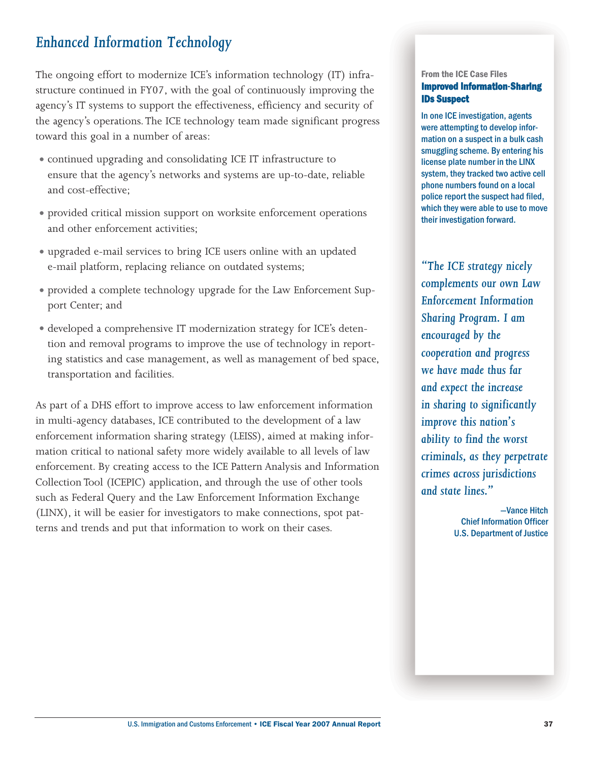### *Enhanced Information Technology*

The ongoing effort to modernize ICE's information technology (IT) infrastructure continued in FY07, with the goal of continuously improving the agency's IT systems to support the effectiveness, efficiency and security of the agency's operations.The ICE technology team made significant progress toward this goal in a number of areas:

- continued upgrading and consolidating ICE IT infrastructure to ensure that the agency's networks and systems are up-to-date, reliable and cost-effective;
- provided critical mission support on worksite enforcement operations and other enforcement activities;
- upgraded e-mail services to bring ICE users online with an updated e-mail platform, replacing reliance on outdated systems;
- provided a complete technology upgrade for the Law Enforcement Support Center; and
- developed a comprehensive IT modernization strategy for ICE's detention and removal programs to improve the use of technology in reporting statistics and case management, as well as management of bed space, transportation and facilities.

As part of a DHS effort to improve access to law enforcement information in multi-agency databases, ICE contributed to the development of a law enforcement information sharing strategy (LEISS), aimed at making information critical to national safety more widely available to all levels of law enforcement. By creating access to the ICE Pattern Analysis and Information Collection Tool (ICEPIC) application, and through the use of other tools such as Federal Query and the Law Enforcement Information Exchange (LINX), it will be easier for investigators to make connections, spot patterns and trends and put that information to work on their cases.

#### From the ICE Case Files Improved Information-Sharing IDs Suspect

In one ICE investigation, agents were attempting to develop information on a suspect in a bulk cash smuggling scheme. By entering his license plate number in the LINX system, they tracked two active cell phone numbers found on a local police report the suspect had filed, which they were able to use to move their investigation forward.

*"The ICE strategy nicely complements our own Law Enforcement Information Sharing Program. I am encouraged by the cooperation and progress we have made thus far and expect the increase in sharing to significantly improve this nation's ability to find the worst criminals, as they perpetrate crimes across jurisdictions and state lines."* 

> —Vance Hitch Chief Information Officer U.S. Department of Justice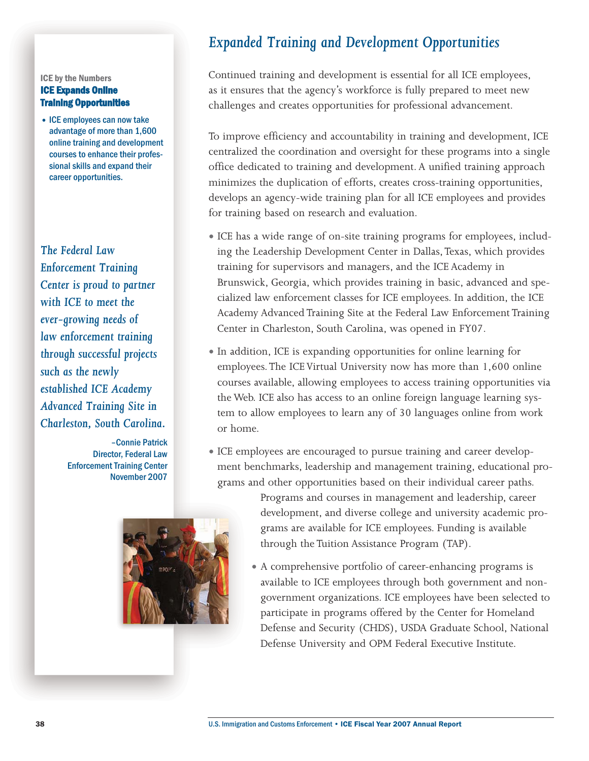#### ICE by the Numbers ICE Expands Online Training Opportunities

•ICE employees can now take advantage of more than 1,600 online training and development courses to enhance their professional skills and expand their career opportunities.

*The Federal Law Enforcement Training Center is proud to partner with ICE to meet the ever-growing needs of law enforcement training through successful projects such as the newly established ICE Academy Advanced Training Site in Charleston, South Carolina.* 

> –Connie Patrick Director, Federal Law Enforcement Training Center November 2007



### *Expanded Training and Development Opportunities*

Continued training and development is essential for all ICE employees, as it ensures that the agency's workforce is fully prepared to meet new challenges and creates opportunities for professional advancement.

To improve efficiency and accountability in training and development, ICE centralized the coordination and oversight for these programs into a single office dedicated to training and development. A unified training approach minimizes the duplication of efforts, creates cross-training opportunities, develops an agency-wide training plan for all ICE employees and provides for training based on research and evaluation.

- ICE has a wide range of on-site training programs for employees, including the Leadership Development Center in Dallas, Texas, which provides training for supervisors and managers, and the ICE Academy in Brunswick, Georgia, which provides training in basic, advanced and specialized law enforcement classes for ICE employees. In addition, the ICE Academy Advanced Training Site at the Federal Law Enforcement Training Center in Charleston, South Carolina, was opened in FY07.
- In addition, ICE is expanding opportunities for online learning for employees. The ICE Virtual University now has more than 1,600 online courses available, allowing employees to access training opportunities via the Web. ICE also has access to an online foreign language learning system to allow employees to learn any of 30 languages online from work or home.
- ICE employees are encouraged to pursue training and career development benchmarks, leadership and management training, educational programs and other opportunities based on their individual career paths.

Programs and courses in management and leadership, career development, and diverse college and university academic programs are available for ICE employees. Funding is available through the Tuition Assistance Program (TAP).

• A comprehensive portfolio of career-enhancing programs is available to ICE employees through both government and nongovernment organizations. ICE employees have been selected to participate in programs offered by the Center for Homeland Defense and Security (CHDS), USDA Graduate School, National Defense University and OPM Federal Executive Institute.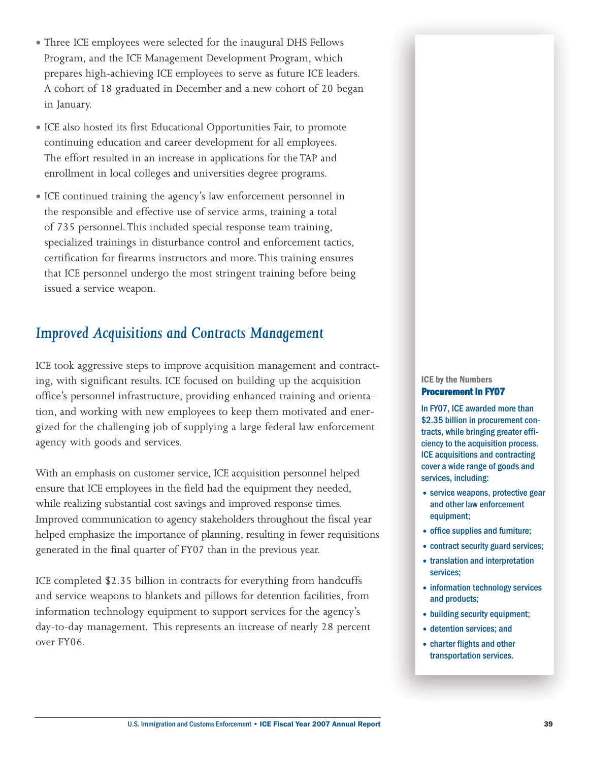- Three ICE employees were selected for the inaugural DHS Fellows Program, and the ICE Management Development Program, which prepares high-achieving ICE employees to serve as future ICE leaders. A cohort of 18 graduated in December and a new cohort of 20 began in January.
- ICE also hosted its first Educational Opportunities Fair, to promote continuing education and career development for all employees. The effort resulted in an increase in applications for the TAP and enrollment in local colleges and universities degree programs.
- ICE continued training the agency's law enforcement personnel in the responsible and effective use of service arms, training a total of 735 personnel. This included special response team training, specialized trainings in disturbance control and enforcement tactics, certification for firearms instructors and more.This training ensures that ICE personnel undergo the most stringent training before being issued a service weapon.

### *Improved Acquisitions and Contracts Management*

ICE took aggressive steps to improve acquisition management and contracting, with significant results. ICE focused on building up the acquisition office's personnel infrastructure, providing enhanced training and orientation, and working with new employees to keep them motivated and energized for the challenging job of supplying a large federal law enforcement agency with goods and services.

With an emphasis on customer service, ICE acquisition personnel helped ensure that ICE employees in the field had the equipment they needed, while realizing substantial cost savings and improved response times. Improved communication to agency stakeholders throughout the fiscal year helped emphasize the importance of planning, resulting in fewer requisitions generated in the final quarter of FY07 than in the previous year.

ICE completed \$2.35 billion in contracts for everything from handcuffs and service weapons to blankets and pillows for detention facilities, from information technology equipment to support services for the agency's day-to-day management. This represents an increase of nearly 28 percent over FY06.

#### ICE by the Numbers Procurement in FY07

In FY07, ICE awarded more than \$2.35 billion in procurement contracts, while bringing greater efficiency to the acquisition process. ICE acquisitions and contracting cover a wide range of goods and services, including:

- service weapons, protective gear and other law enforcement equipment;
- office supplies and furniture;
- contract security guard services;
- translation and interpretation services;
- information technology services and products;
- building security equipment;
- •detention services; and
- •charter flights and other transportation services.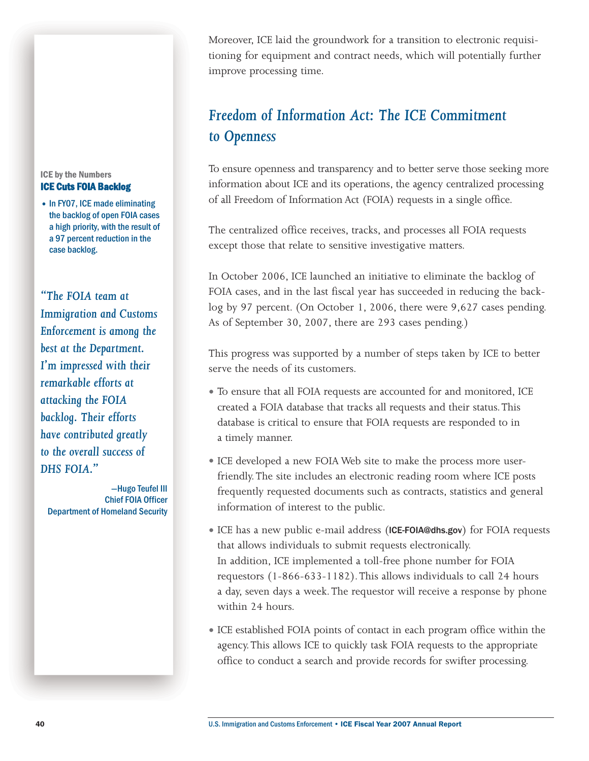#### ICE by the Numbers ICE Cuts FOIA Backlog

• In FY07, ICE made eliminating the backlog of open FOIA cases a high priority, with the result of a 97 percent reduction in the case backlog.

*"The FOIA team at Immigration and Customs Enforcement is among the best at the Department. I'm impressed with their remarkable efforts at attacking the FOIA backlog. Their efforts have contributed greatly to the overall success of DHS FOIA."* 

—Hugo Teufel III Chief FOIA Officer Department of Homeland Security

Moreover, ICE laid the groundwork for a transition to electronic requisitioning for equipment and contract needs, which will potentially further improve processing time.

# *Freedom of Information Act: The ICE Commitment to Openness*

To ensure openness and transparency and to better serve those seeking more information about ICE and its operations, the agency centralized processing of all Freedom of Information Act (FOIA) requests in a single office.

The centralized office receives, tracks, and processes all FOIA requests except those that relate to sensitive investigative matters.

In October 2006, ICE launched an initiative to eliminate the backlog of FOIA cases, and in the last fiscal year has succeeded in reducing the backlog by 97 percent. (On October 1, 2006, there were 9,627 cases pending. As of September 30, 2007, there are 293 cases pending.)

This progress was supported by a number of steps taken by ICE to better serve the needs of its customers.

- To ensure that all FOIA requests are accounted for and monitored, ICE created a FOIA database that tracks all requests and their status.This database is critical to ensure that FOIA requests are responded to in a timely manner.
- ICE developed a new FOIA Web site to make the process more userfriendly.The site includes an electronic reading room where ICE posts frequently requested documents such as contracts, statistics and general information of interest to the public.
- ICE has a new public e-mail address (ICE-FOIA@dhs.gov) for FOIA requests that allows individuals to submit requests electronically. In addition, ICE implemented a toll-free phone number for FOIA requestors (1-866-633-1182).This allows individuals to call 24 hours a day, seven days a week. The requestor will receive a response by phone within 24 hours.
- ICE established FOIA points of contact in each program office within the agency.This allows ICE to quickly task FOIA requests to the appropriate office to conduct a search and provide records for swifter processing.